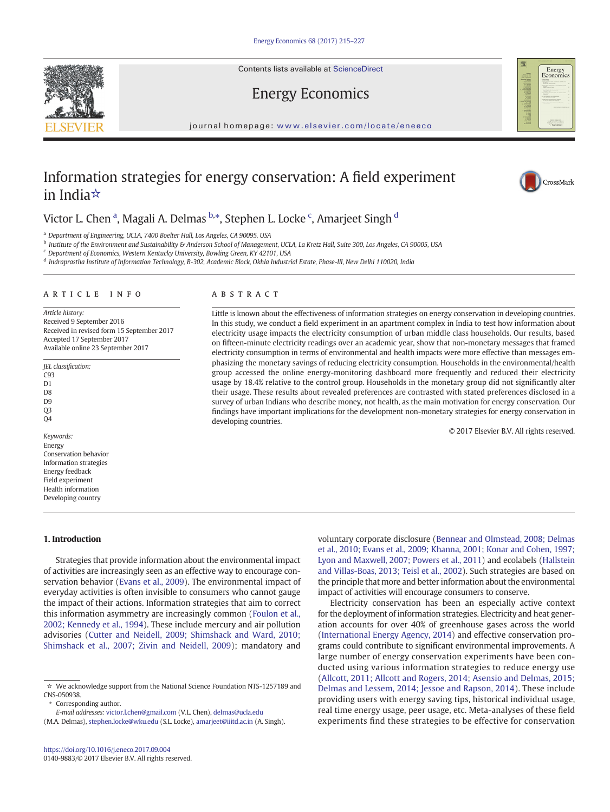Contents lists available at ScienceDirect

# Energy Economics

journal homepage: <www.elsevier.com/locate/eneeco>

# Information strategies for energy conservation: A field experiment in India☆

# Victor L. Chen <sup>a</sup>, Magali A. Delmas <sup>b,</sup>\*, Stephen L. Locke <sup>c</sup>, Amarjeet Singh <sup>d</sup>

<sup>a</sup> Department of Engineering, UCLA, 7400 Boelter Hall, Los Angeles, CA 90095, USA

<sup>b</sup> Institute of the Environment and Sustainability & Anderson School of Management, UCLA, La Kretz Hall, Suite 300, Los Angeles, CA 90005, USA

developing countries.

<sup>c</sup> Department of Economics, Western Kentucky University, Bowling Green, KY 42101, USA

<sup>d</sup> Indraprastha Institute of Information Technology, B-302, Academic Block, Okhla Industrial Estate, Phase-III, New Delhi 110020, India

Article history: Received 9 September 2016 Received in revised form 15 September 2017 Accepted 17 September 2017 Available online 23 September 2017

JEL classification: C93 D1 D<sub>8</sub> D9 Q3 Q4 © 2017 Elsevier B.V. All rights reserved. Keywords: Energy Conservation behavior Information strategies Energy feedback Field experiment Health information

#### 1. Introduction

Developing country

Strategies that provide information about the environmental impact of activities are increasingly seen as an effective way to encourage conservation behavior [\(Evans et al., 2009\)](#page-11-0). The environmental impact of everyday activities is often invisible to consumers who cannot gauge the impact of their actions. Information strategies that aim to correct this information asymmetry are increasingly common ([Foulon et al.,](#page-11-0) [2002; Kennedy et al., 1994\)](#page-11-0). These include mercury and air pollution advisories ([Cutter and Neidell, 2009; Shimshack and Ward, 2010;](#page-11-0) [Shimshack et al., 2007; Zivin and Neidell, 2009\)](#page-11-0); mandatory and

Corresponding author.

voluntary corporate disclosure [\(Bennear and Olmstead, 2008; Delmas](#page-11-0) [et al., 2010; Evans et al., 2009; Khanna, 2001; Konar and Cohen, 1997;](#page-11-0) [Lyon and Maxwell, 2007; Powers et al., 2011](#page-11-0)) and ecolabels ([Hallstein](#page-11-0) [and Villas-Boas, 2013; Teisl et al., 2002](#page-11-0)). Such strategies are based on the principle that more and better information about the environmental impact of activities will encourage consumers to conserve.

Electricity conservation has been an especially active context for the deployment of information strategies. Electricity and heat generation accounts for over 40% of greenhouse gases across the world [\(International Energy Agency, 2014](#page-11-0)) and effective conservation programs could contribute to significant environmental improvements. A large number of energy conservation experiments have been conducted using various information strategies to reduce energy use [\(Allcott, 2011; Allcott and Rogers, 2014; Asensio and Delmas, 2015;](#page-11-0) [Delmas and Lessem, 2014; Jessoe and Rapson, 2014\)](#page-11-0). These include providing users with energy saving tips, historical individual usage, real time energy usage, peer usage, etc. Meta-analyses of these field experiments find these strategies to be effective for conservation



Little is known about the effectiveness of information strategies on energy conservation in developing countries. In this study, we conduct a field experiment in an apartment complex in India to test how information about electricity usage impacts the electricity consumption of urban middle class households. Our results, based on fifteen-minute electricity readings over an academic year, show that non-monetary messages that framed electricity consumption in terms of environmental and health impacts were more effective than messages emphasizing the monetary savings of reducing electricity consumption. Households in the environmental/health group accessed the online energy-monitoring dashboard more frequently and reduced their electricity usage by 18.4% relative to the control group. Households in the monetary group did not significantly alter their usage. These results about revealed preferences are contrasted with stated preferences disclosed in a survey of urban Indians who describe money, not health, as the main motivation for energy conservation. Our findings have important implications for the development non-monetary strategies for energy conservation in







<sup>☆</sup> We acknowledge support from the National Science Foundation NTS-1257189 and CNS-050938.

E-mail addresses: victor.l.chen@gmail.com (V.L. Chen), [delmas@ucla.edu](mailto:delmas@ucla.edu)

<sup>(</sup>M.A. Delmas), stephen.locke@wku.edu (S.L. Locke), [amarjeet@iiitd.ac.in](mailto:amarjeet@iiitd.ac.in) (A. Singh).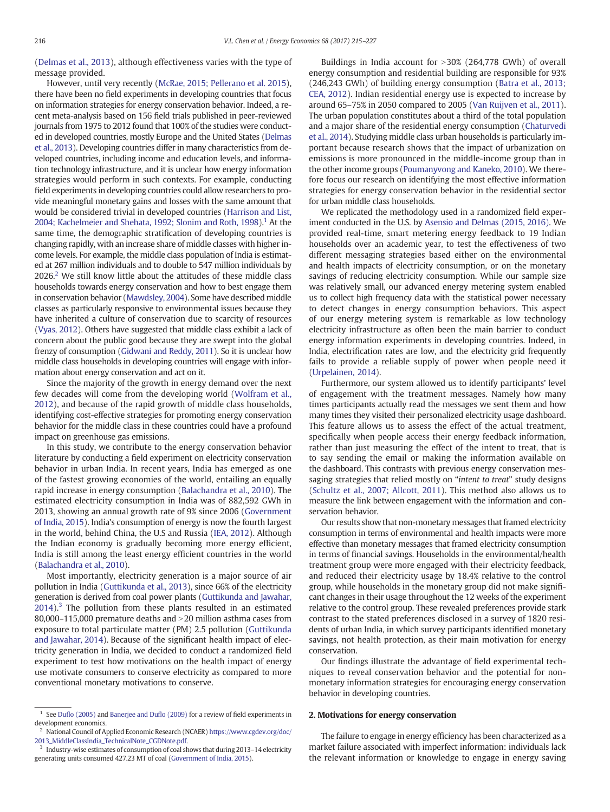[\(Delmas et al., 2013\)](#page-11-0), although effectiveness varies with the type of message provided.

However, until very recently ([McRae, 2015; Pellerano et al. 2015](#page-11-0)), there have been no field experiments in developing countries that focus on information strategies for energy conservation behavior. Indeed, a recent meta-analysis based on 156 field trials published in peer-reviewed journals from 1975 to 2012 found that 100% of the studies were conducted in developed countries, mostly Europe and the United States [\(Delmas](#page-11-0) [et al., 2013\)](#page-11-0). Developing countries differ in many characteristics from developed countries, including income and education levels, and information technology infrastructure, and it is unclear how energy information strategies would perform in such contexts. For example, conducting field experiments in developing countries could allow researchers to provide meaningful monetary gains and losses with the same amount that would be considered trivial in developed countries ([Harrison and List,](#page-11-0) [2004; Kachelmeier and Shehata, 1992; Slonim and Roth, 1998\)](#page-11-0).<sup>1</sup> At the same time, the demographic stratification of developing countries is changing rapidly, with an increase share of middle classes with higher income levels. For example, the middle class population of India is estimated at 267 million individuals and to double to 547 million individuals by  $2026<sup>2</sup>$  We still know little about the attitudes of these middle class households towards energy conservation and how to best engage them in conservation behavior [\(Mawdsley, 2004\)](#page-11-0). Some have described middle classes as particularly responsive to environmental issues because they have inherited a culture of conservation due to scarcity of resources [\(Vyas, 2012\)](#page-12-0). Others have suggested that middle class exhibit a lack of concern about the public good because they are swept into the global frenzy of consumption [\(Gidwani and Reddy, 2011\)](#page-11-0). So it is unclear how middle class households in developing countries will engage with information about energy conservation and act on it.

Since the majority of the growth in energy demand over the next few decades will come from the developing world [\(Wolfram et al.,](#page-12-0) [2012](#page-12-0)), and because of the rapid growth of middle class households, identifying cost-effective strategies for promoting energy conservation behavior for the middle class in these countries could have a profound impact on greenhouse gas emissions.

In this study, we contribute to the energy conservation behavior literature by conducting a field experiment on electricity conservation behavior in urban India. In recent years, India has emerged as one of the fastest growing economies of the world, entailing an equally rapid increase in energy consumption [\(Balachandra et al., 2010\)](#page-11-0). The estimated electricity consumption in India was of 882,592 GWh in 2013, showing an annual growth rate of 9% since 2006 [\(Government](#page-11-0) [of India, 2015\)](#page-11-0). India's consumption of energy is now the fourth largest in the world, behind China, the U.S and Russia ([IEA, 2012](#page-11-0)). Although the Indian economy is gradually becoming more energy efficient, India is still among the least energy efficient countries in the world [\(Balachandra et al., 2010](#page-11-0)).

Most importantly, electricity generation is a major source of air pollution in India [\(Guttikunda et al., 2013\)](#page-11-0), since 66% of the electricity generation is derived from coal power plants [\(Guttikunda and Jawahar,](#page-11-0)  $2014$ ).<sup>3</sup> The pollution from these plants resulted in an estimated 80,000–115,000 premature deaths and  $>$ 20 million asthma cases from exposure to total particulate matter (PM) 2.5 pollution [\(Guttikunda](#page-11-0) [and Jawahar, 2014\)](#page-11-0). Because of the significant health impact of electricity generation in India, we decided to conduct a randomized field experiment to test how motivations on the health impact of energy use motivate consumers to conserve electricity as compared to more conventional monetary motivations to conserve.

Buildings in India account for  $>30\%$  (264,778 GWh) of overall energy consumption and residential building are responsible for 93% (246,243 GWh) of building energy consumption [\(Batra et al., 2013;](#page-11-0) [CEA, 2012](#page-11-0)). Indian residential energy use is expected to increase by around 65–75% in 2050 compared to 2005 ([Van Ruijven et al., 2011](#page-12-0)). The urban population constitutes about a third of the total population and a major share of the residential energy consumption [\(Chaturvedi](#page-11-0) [et al., 2014\)](#page-11-0). Studying middle class urban households is particularly important because research shows that the impact of urbanization on emissions is more pronounced in the middle-income group than in the other income groups ([Poumanyvong and Kaneko, 2010\)](#page-11-0). We therefore focus our research on identifying the most effective information strategies for energy conservation behavior in the residential sector for urban middle class households.

We replicated the methodology used in a randomized field experiment conducted in the U.S. by [Asensio and Delmas \(2015, 2016\)](#page-11-0). We provided real-time, smart metering energy feedback to 19 Indian households over an academic year, to test the effectiveness of two different messaging strategies based either on the environmental and health impacts of electricity consumption, or on the monetary savings of reducing electricity consumption. While our sample size was relatively small, our advanced energy metering system enabled us to collect high frequency data with the statistical power necessary to detect changes in energy consumption behaviors. This aspect of our energy metering system is remarkable as low technology electricity infrastructure as often been the main barrier to conduct energy information experiments in developing countries. Indeed, in India, electrification rates are low, and the electricity grid frequently fails to provide a reliable supply of power when people need it [\(Urpelainen, 2014\)](#page-12-0).

Furthermore, our system allowed us to identify participants' level of engagement with the treatment messages. Namely how many times participants actually read the messages we sent them and how many times they visited their personalized electricity usage dashboard. This feature allows us to assess the effect of the actual treatment, specifically when people access their energy feedback information, rather than just measuring the effect of the intent to treat, that is to say sending the email or making the information available on the dashboard. This contrasts with previous energy conservation messaging strategies that relied mostly on "intent to treat" study designs [\(Schultz et al., 2007; Allcott, 2011\)](#page-12-0). This method also allows us to measure the link between engagement with the information and conservation behavior.

Our results show that non-monetary messages that framed electricity consumption in terms of environmental and health impacts were more effective than monetary messages that framed electricity consumption in terms of financial savings. Households in the environmental/health treatment group were more engaged with their electricity feedback, and reduced their electricity usage by 18.4% relative to the control group, while households in the monetary group did not make significant changes in their usage throughout the 12 weeks of the experiment relative to the control group. These revealed preferences provide stark contrast to the stated preferences disclosed in a survey of 1820 residents of urban India, in which survey participants identified monetary savings, not health protection, as their main motivation for energy conservation.

Our findings illustrate the advantage of field experimental techniques to reveal conservation behavior and the potential for nonmonetary information strategies for encouraging energy conservation behavior in developing countries.

### 2. Motivations for energy conservation

The failure to engage in energy efficiency has been characterized as a market failure associated with imperfect information: individuals lack the relevant information or knowledge to engage in energy saving

 $1$  See Dufl[o \(2005\)](#page-11-0) and [Banerjee and Du](#page-11-0)flo (2009) for a review of field experiments in development economics.

<sup>&</sup>lt;sup>2</sup> National Council of Applied Economic Research (NCAER) [https://www.cgdev.org/doc/](https://www.cgdev.org/doc/2013_MiddleClass_TechnicalNote_CGDNote.pdf) [2013\\_MiddleClassIndia\\_TechnicalNote\\_CGDNote.pdf](https://www.cgdev.org/doc/2013_MiddleClass_TechnicalNote_CGDNote.pdf).

<sup>&</sup>lt;sup>3</sup> Industry-wise estimates of consumption of coal shows that during 2013-14 electricity generating units consumed 427.23 MT of coal [\(Government of India, 2015](#page-11-0)).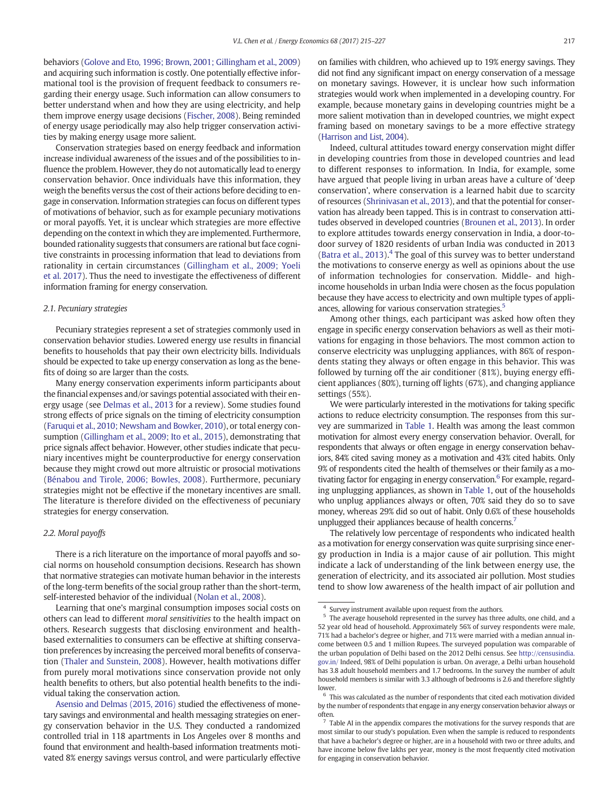behaviors [\(Golove and Eto, 1996; Brown, 2001; Gillingham et al., 2009](#page-11-0)) and acquiring such information is costly. One potentially effective informational tool is the provision of frequent feedback to consumers regarding their energy usage. Such information can allow consumers to better understand when and how they are using electricity, and help them improve energy usage decisions ([Fischer, 2008\)](#page-11-0). Being reminded of energy usage periodically may also help trigger conservation activities by making energy usage more salient.

Conservation strategies based on energy feedback and information increase individual awareness of the issues and of the possibilities to influence the problem. However, they do not automatically lead to energy conservation behavior. Once individuals have this information, they weigh the benefits versus the cost of their actions before deciding to engage in conservation. Information strategies can focus on different types of motivations of behavior, such as for example pecuniary motivations or moral payoffs. Yet, it is unclear which strategies are more effective depending on the context in which they are implemented. Furthermore, bounded rationality suggests that consumers are rational but face cognitive constraints in processing information that lead to deviations from rationality in certain circumstances ([Gillingham et al., 2009; Yoeli](#page-11-0) [et al. 2017\)](#page-11-0). Thus the need to investigate the effectiveness of different information framing for energy conservation.

#### 2.1. Pecuniary strategies

Pecuniary strategies represent a set of strategies commonly used in conservation behavior studies. Lowered energy use results in financial benefits to households that pay their own electricity bills. Individuals should be expected to take up energy conservation as long as the benefits of doing so are larger than the costs.

Many energy conservation experiments inform participants about the financial expenses and/or savings potential associated with their energy usage (see [Delmas et al., 2013](#page-11-0) for a review). Some studies found strong effects of price signals on the timing of electricity consumption [\(Faruqui et al., 2010; Newsham and Bowker, 2010\)](#page-11-0), or total energy consumption [\(Gillingham et al., 2009; Ito et al., 2015](#page-11-0)), demonstrating that price signals affect behavior. However, other studies indicate that pecuniary incentives might be counterproductive for energy conservation because they might crowd out more altruistic or prosocial motivations [\(Bénabou and Tirole, 2006; Bowles, 2008](#page-11-0)). Furthermore, pecuniary strategies might not be effective if the monetary incentives are small. The literature is therefore divided on the effectiveness of pecuniary strategies for energy conservation.

#### 2.2. Moral payoffs

There is a rich literature on the importance of moral payoffs and social norms on household consumption decisions. Research has shown that normative strategies can motivate human behavior in the interests of the long-term benefits of the social group rather than the short-term, self-interested behavior of the individual ([Nolan et al., 2008](#page-11-0)).

Learning that one's marginal consumption imposes social costs on others can lead to different moral sensitivities to the health impact on others. Research suggests that disclosing environment and healthbased externalities to consumers can be effective at shifting conservation preferences by increasing the perceived moral benefits of conservation ([Thaler and Sunstein, 2008\)](#page-12-0). However, health motivations differ from purely moral motivations since conservation provide not only health benefits to others, but also potential health benefits to the individual taking the conservation action.

on families with children, who achieved up to 19% energy savings. They did not find any significant impact on energy conservation of a message on monetary savings. However, it is unclear how such information strategies would work when implemented in a developing country. For example, because monetary gains in developing countries might be a more salient motivation than in developed countries, we might expect framing based on monetary savings to be a more effective strategy [\(Harrison and List, 2004\)](#page-11-0).

Indeed, cultural attitudes toward energy conservation might differ in developing countries from those in developed countries and lead to different responses to information. In India, for example, some have argued that people living in urban areas have a culture of 'deep conservation', where conservation is a learned habit due to scarcity of resources [\(Shrinivasan et al., 2013\)](#page-12-0), and that the potential for conservation has already been tapped. This is in contrast to conservation attitudes observed in developed countries [\(Brounen et al., 2013](#page-11-0)). In order to explore attitudes towards energy conservation in India, a door-todoor survey of 1820 residents of urban India was conducted in 2013 [\(Batra et al., 2013\)](#page-11-0). $4$  The goal of this survey was to better understand the motivations to conserve energy as well as opinions about the use of information technologies for conservation. Middle- and highincome households in urban India were chosen as the focus population because they have access to electricity and own multiple types of appliances, allowing for various conservation strategies.<sup>5</sup>

Among other things, each participant was asked how often they engage in specific energy conservation behaviors as well as their motivations for engaging in those behaviors. The most common action to conserve electricity was unplugging appliances, with 86% of respondents stating they always or often engage in this behavior. This was followed by turning off the air conditioner (81%), buying energy efficient appliances (80%), turning off lights (67%), and changing appliance settings (55%).

We were particularly interested in the motivations for taking specific actions to reduce electricity consumption. The responses from this survey are summarized in [Table 1](#page-3-0). Health was among the least common motivation for almost every energy conservation behavior. Overall, for respondents that always or often engage in energy conservation behaviors, 84% cited saving money as a motivation and 43% cited habits. Only 9% of respondents cited the health of themselves or their family as a motivating factor for engaging in energy conservation.<sup>6</sup> For example, regarding unplugging appliances, as shown in [Table 1,](#page-3-0) out of the households who unplug appliances always or often, 70% said they do so to save money, whereas 29% did so out of habit. Only 0.6% of these households unplugged their appliances because of health concerns.<sup>7</sup>

The relatively low percentage of respondents who indicated health as a motivation for energy conservation was quite surprising since energy production in India is a major cause of air pollution. This might indicate a lack of understanding of the link between energy use, the generation of electricity, and its associated air pollution. Most studies tend to show low awareness of the health impact of air pollution and

[Asensio and Delmas \(2015, 2016\)](#page-11-0) studied the effectiveness of monetary savings and environmental and health messaging strategies on energy conservation behavior in the U.S. They conducted a randomized controlled trial in 118 apartments in Los Angeles over 8 months and found that environment and health-based information treatments motivated 8% energy savings versus control, and were particularly effective

<sup>4</sup> Survey instrument available upon request from the authors.

<sup>5</sup> The average household represented in the survey has three adults, one child, and a 52 year old head of household. Approximately 56% of survey respondents were male, 71% had a bachelor's degree or higher, and 71% were married with a median annual income between 0.5 and 1 million Rupees. The surveyed population was comparable of the urban population of Delhi based on the 2012 Delhi census. See [http://censusindia.](http://censusindia.gov.in/) [gov.in/](http://censusindia.gov.in/) Indeed, 98% of Delhi population is urban. On average, a Delhi urban household has 3.8 adult household members and 1.7 bedrooms. In the survey the number of adult household members is similar with 3.3 although of bedrooms is 2.6 and therefore slightly lower.

 $^6\,$  This was calculated as the number of respondents that cited each motivation divided by the number of respondents that engage in any energy conservation behavior always or often.

 $<sup>7</sup>$  Table AI in the appendix compares the motivations for the survey responds that are</sup> most similar to our study's population. Even when the sample is reduced to respondents that have a bachelor's degree or higher, are in a household with two or three adults, and have income below five lakhs per year, money is the most frequently cited motivation for engaging in conservation behavior.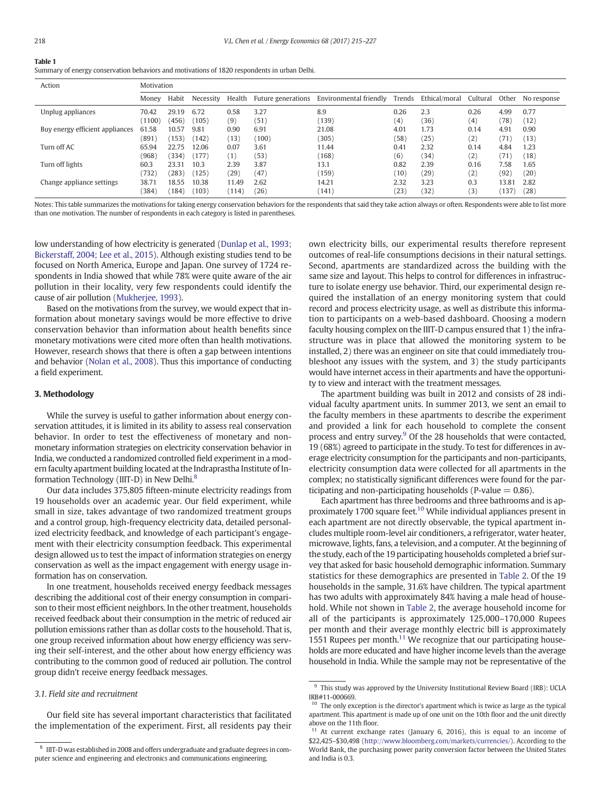#### <span id="page-3-0"></span>Table 1

Summary of energy conservation behaviors and motivations of 1820 respondents in urban Delhi.

| Action                          | Motivation      |                |                |                |                    |                        |              |               |                          |              |              |
|---------------------------------|-----------------|----------------|----------------|----------------|--------------------|------------------------|--------------|---------------|--------------------------|--------------|--------------|
|                                 | Money           | Habit          | Necessity      | Health         | Future generations | Environmental friendly | Trends       | Ethical/moral | Cultural                 | Other        | No response  |
| Unplug appliances               | 70.42<br>(1100) | 29.19<br>(456) | 6.72<br>(105)  | 0.58<br>(9)    | 3.27<br>(51)       | 8.9<br>(139)           | 0.26<br>(4)  | 2.3<br>(36)   | 0.26<br>$\left(4\right)$ | 4.99<br>(78) | 0.77<br>(12) |
| Buy energy efficient appliances | 61.58<br>(891)  | 10.57<br>(153) | 9.81<br>(142)  | 0.90<br>(13)   | 6.91<br>(100)      | 21.08<br>(305)         | 4.01<br>(58) | 1.73<br>(25)  | 0.14<br>(2)              | 4.91<br>(71) | 0.90<br>(13) |
| Turn off AC                     | 65.94<br>(968)  | 22.75<br>(334) | 12.06<br>(177) | 0.07<br>(1)    | 3.61<br>(53)       | 11.44<br>(168)         | 0.41<br>(6)  | 2.32<br>(34)  | 0.14<br>(2)              | 4.84<br>(71) | 1.23<br>(18) |
| Turn off lights                 | 60.3<br>(732)   | 23.31<br>(283) | 10.3<br>(125)  | 2.39<br>(29)   | 3.87<br>(47)       | 13.1<br>(159)          | 0.82<br>(10) | 2.39<br>(29)  | 0.16<br>(2)              | 7.58<br>(92) | 1.65<br>(20) |
| Change appliance settings       | 38.71<br>(384)  | 18.55<br>184)  | 10.38<br>(103) | 11.49<br>(114) | 2.62<br>(26)       | 14.21<br>(141)         | 2.32<br>(23) | 3.23<br>(32)  | 0.3<br>(3)               | 13.81<br>137 | 2.82<br>(28) |
|                                 |                 |                |                |                |                    |                        |              |               |                          |              |              |

Notes: This table summarizes the motivations for taking energy conservation behaviors for the respondents that said they take action always or often. Respondents were able to list more than one motivation. The number of respondents in each category is listed in parentheses.

low understanding of how electricity is generated ([Dunlap et al., 1993;](#page-11-0) [Bickerstaff, 2004; Lee et al., 2015\)](#page-11-0). Although existing studies tend to be focused on North America, Europe and Japan. One survey of 1724 respondents in India showed that while 78% were quite aware of the air pollution in their locality, very few respondents could identify the cause of air pollution ([Mukherjee, 1993\)](#page-11-0).

Based on the motivations from the survey, we would expect that information about monetary savings would be more effective to drive conservation behavior than information about health benefits since monetary motivations were cited more often than health motivations. However, research shows that there is often a gap between intentions and behavior ([Nolan et al., 2008](#page-11-0)). Thus this importance of conducting a field experiment.

#### 3. Methodology

While the survey is useful to gather information about energy conservation attitudes, it is limited in its ability to assess real conservation behavior. In order to test the effectiveness of monetary and nonmonetary information strategies on electricity conservation behavior in India, we conducted a randomized controlled field experiment in a modern faculty apartment building located at the Indraprastha Institute of Information Technology (IIIT-D) in New Delhi.<sup>8</sup>

Our data includes 375,805 fifteen-minute electricity readings from 19 households over an academic year. Our field experiment, while small in size, takes advantage of two randomized treatment groups and a control group, high-frequency electricity data, detailed personalized electricity feedback, and knowledge of each participant's engagement with their electricity consumption feedback. This experimental design allowed us to test the impact of information strategies on energy conservation as well as the impact engagement with energy usage information has on conservation.

In one treatment, households received energy feedback messages describing the additional cost of their energy consumption in comparison to their most efficient neighbors. In the other treatment, households received feedback about their consumption in the metric of reduced air pollution emissions rather than as dollar costs to the household. That is, one group received information about how energy efficiency was serving their self-interest, and the other about how energy efficiency was contributing to the common good of reduced air pollution. The control group didn't receive energy feedback messages.

#### 3.1. Field site and recruitment

Our field site has several important characteristics that facilitated the implementation of the experiment. First, all residents pay their own electricity bills, our experimental results therefore represent outcomes of real-life consumptions decisions in their natural settings. Second, apartments are standardized across the building with the same size and layout. This helps to control for differences in infrastructure to isolate energy use behavior. Third, our experimental design required the installation of an energy monitoring system that could record and process electricity usage, as well as distribute this information to participants on a web-based dashboard. Choosing a modern faculty housing complex on the IIIT-D campus ensured that 1) the infrastructure was in place that allowed the monitoring system to be installed, 2) there was an engineer on site that could immediately troubleshoot any issues with the system, and 3) the study participants would have internet access in their apartments and have the opportunity to view and interact with the treatment messages.

The apartment building was built in 2012 and consists of 28 individual faculty apartment units. In summer 2013, we sent an email to the faculty members in these apartments to describe the experiment and provided a link for each household to complete the consent process and entry survey.<sup>9</sup> Of the 28 households that were contacted, 19 (68%) agreed to participate in the study. To test for differences in average electricity consumption for the participants and non-participants, electricity consumption data were collected for all apartments in the complex; no statistically significant differences were found for the participating and non-participating households (P-value  $= 0.86$ ).

Each apartment has three bedrooms and three bathrooms and is approximately 1700 square feet.<sup>10</sup> While individual appliances present in each apartment are not directly observable, the typical apartment includes multiple room-level air conditioners, a refrigerator, water heater, microwave, lights, fans, a television, and a computer. At the beginning of the study, each of the 19 participating households completed a brief survey that asked for basic household demographic information. Summary statistics for these demographics are presented in [Table 2](#page-4-0). Of the 19 households in the sample, 31.6% have children. The typical apartment has two adults with approximately 84% having a male head of household. While not shown in [Table 2,](#page-4-0) the average household income for all of the participants is approximately 125,000–170,000 Rupees per month and their average monthly electric bill is approximately 1551 Rupees per month. $11$  We recognize that our participating households are more educated and have higher income levels than the average household in India. While the sample may not be representative of the

<sup>8</sup> IIIT-D was established in 2008 and offers undergraduate and graduate degrees in computer science and engineering and electronics and communications engineering.

 $9$  This study was approved by the University Institutional Review Board (IRB): UCLA IRB#11-000669.

 $10$  The only exception is the director's apartment which is twice as large as the typical apartment. This apartment is made up of one unit on the 10th floor and the unit directly above on the 11th floor.

At current exchange rates (January 6, 2016), this is equal to an income of \$22,425–\$30,498 ([http://www.bloomberg.com/markets/currencies/\)](http://www.bloomberg.com/markets/currencies/). According to the World Bank, the purchasing power parity conversion factor between the United States and India is 0.3.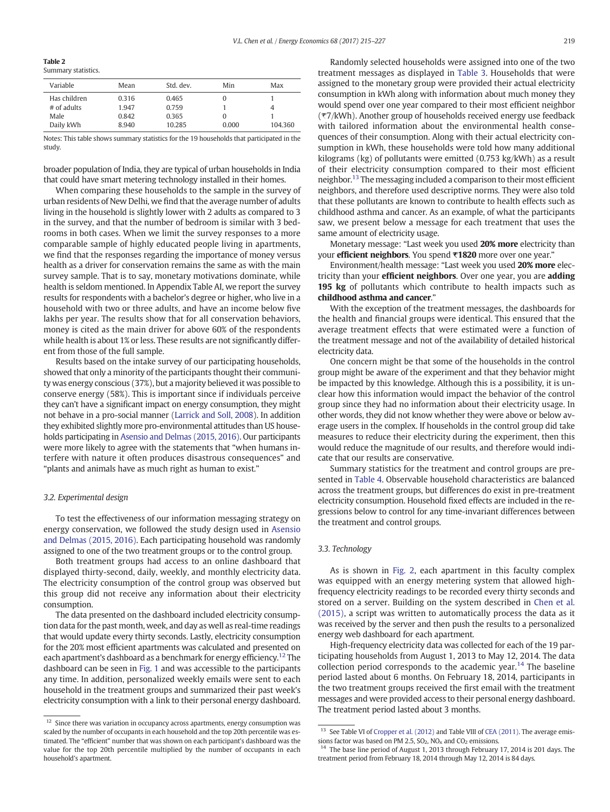<span id="page-4-0"></span>Table 2 Summary statistics.

| Julillial y statistics. |       |           |       |         |
|-------------------------|-------|-----------|-------|---------|
| Variable                | Mean  | Std. dev. | Min   | Max     |
| Has children            | 0.316 | 0.465     |       |         |
| $#$ of adults           | 1.947 | 0.759     |       |         |
| Male                    | 0.842 | 0.365     |       |         |
| Daily kWh               | 8.940 | 10.285    | 0.000 | 104.360 |

Notes: This table shows summary statistics for the 19 households that participated in the study.

broader population of India, they are typical of urban households in India that could have smart metering technology installed in their homes.

When comparing these households to the sample in the survey of urban residents of New Delhi, we find that the average number of adults living in the household is slightly lower with 2 adults as compared to 3 in the survey, and that the number of bedroom is similar with 3 bedrooms in both cases. When we limit the survey responses to a more comparable sample of highly educated people living in apartments, we find that the responses regarding the importance of money versus health as a driver for conservation remains the same as with the main survey sample. That is to say, monetary motivations dominate, while health is seldom mentioned. In Appendix Table AI, we report the survey results for respondents with a bachelor's degree or higher, who live in a household with two or three adults, and have an income below five lakhs per year. The results show that for all conservation behaviors, money is cited as the main driver for above 60% of the respondents while health is about 1% or less. These results are not significantly different from those of the full sample.

Results based on the intake survey of our participating households, showed that only a minority of the participants thought their community was energy conscious (37%), but a majority believed it was possible to conserve energy (58%). This is important since if individuals perceive they can't have a significant impact on energy consumption, they might not behave in a pro-social manner ([Larrick and Soll, 2008](#page-11-0)). In addition they exhibited slightly more pro-environmental attitudes than US households participating in [Asensio and Delmas \(2015, 2016\).](#page-11-0) Our participants were more likely to agree with the statements that "when humans interfere with nature it often produces disastrous consequences" and "plants and animals have as much right as human to exist."

#### 3.2. Experimental design

To test the effectiveness of our information messaging strategy on energy conservation, we followed the study design used in [Asensio](#page-11-0) [and Delmas \(2015, 2016\)](#page-11-0). Each participating household was randomly assigned to one of the two treatment groups or to the control group.

Both treatment groups had access to an online dashboard that displayed thirty-second, daily, weekly, and monthly electricity data. The electricity consumption of the control group was observed but this group did not receive any information about their electricity consumption.

The data presented on the dashboard included electricity consumption data for the past month, week, and day as well as real-time readings that would update every thirty seconds. Lastly, electricity consumption for the 20% most efficient apartments was calculated and presented on each apartment's dashboard as a benchmark for energy efficiency.<sup>12</sup> The dashboard can be seen in [Fig. 1](#page-5-0) and was accessible to the participants any time. In addition, personalized weekly emails were sent to each household in the treatment groups and summarized their past week's electricity consumption with a link to their personal energy dashboard.

Randomly selected households were assigned into one of the two treatment messages as displayed in [Table 3](#page-5-0). Households that were assigned to the monetary group were provided their actual electricity consumption in kWh along with information about much money they would spend over one year compared to their most efficient neighbor (₹7/kWh). Another group of households received energy use feedback with tailored information about the environmental health consequences of their consumption. Along with their actual electricity consumption in kWh, these households were told how many additional kilograms (kg) of pollutants were emitted (0.753 kg/kWh) as a result of their electricity consumption compared to their most efficient neighbor.<sup>13</sup> The messaging included a comparison to their most efficient neighbors, and therefore used descriptive norms. They were also told that these pollutants are known to contribute to health effects such as childhood asthma and cancer. As an example, of what the participants saw, we present below a message for each treatment that uses the same amount of electricity usage.

Monetary message: "Last week you used 20% more electricity than your efficient neighbors. You spend ₹1820 more over one year."

Environment/health message: "Last week you used 20% more electricity than your **efficient neighbors**. Over one year, you are **adding** 195 kg of pollutants which contribute to health impacts such as childhood asthma and cancer."

With the exception of the treatment messages, the dashboards for the health and financial groups were identical. This ensured that the average treatment effects that were estimated were a function of the treatment message and not of the availability of detailed historical electricity data.

One concern might be that some of the households in the control group might be aware of the experiment and that they behavior might be impacted by this knowledge. Although this is a possibility, it is unclear how this information would impact the behavior of the control group since they had no information about their electricity usage. In other words, they did not know whether they were above or below average users in the complex. If households in the control group did take measures to reduce their electricity during the experiment, then this would reduce the magnitude of our results, and therefore would indicate that our results are conservative.

Summary statistics for the treatment and control groups are presented in [Table 4.](#page-5-0) Observable household characteristics are balanced across the treatment groups, but differences do exist in pre-treatment electricity consumption. Household fixed effects are included in the regressions below to control for any time-invariant differences between the treatment and control groups.

#### 3.3. Technology

As is shown in [Fig. 2,](#page-5-0) each apartment in this faculty complex was equipped with an energy metering system that allowed highfrequency electricity readings to be recorded every thirty seconds and stored on a server. Building on the system described in [Chen et al.](#page-11-0) [\(2015\)](#page-11-0), a script was written to automatically process the data as it was received by the server and then push the results to a personalized energy web dashboard for each apartment.

High-frequency electricity data was collected for each of the 19 participating households from August 1, 2013 to May 12, 2014. The data collection period corresponds to the academic year.<sup>14</sup> The baseline period lasted about 6 months. On February 18, 2014, participants in the two treatment groups received the first email with the treatment messages and were provided access to their personal energy dashboard. The treatment period lasted about 3 months.

 $12$  Since there was variation in occupancy across apartments, energy consumption was scaled by the number of occupants in each household and the top 20th percentile was estimated. The "efficient" number that was shown on each participant's dashboard was the value for the top 20th percentile multiplied by the number of occupants in each household's apartment.

 $13$  See Table VI of [Cropper et al. \(2012\)](#page-11-0) and Table VIII of [CEA \(2011\).](#page-11-0) The average emis-

sions factor was based on PM 2.5, SO<sub>2</sub>, NO<sub>x</sub> and CO<sub>2</sub> emissions.<br><sup>14</sup> The base line period of August 1, 2013 through February 17, 2014 is 201 days. The treatment period from February 18, 2014 through May 12, 2014 is 84 days.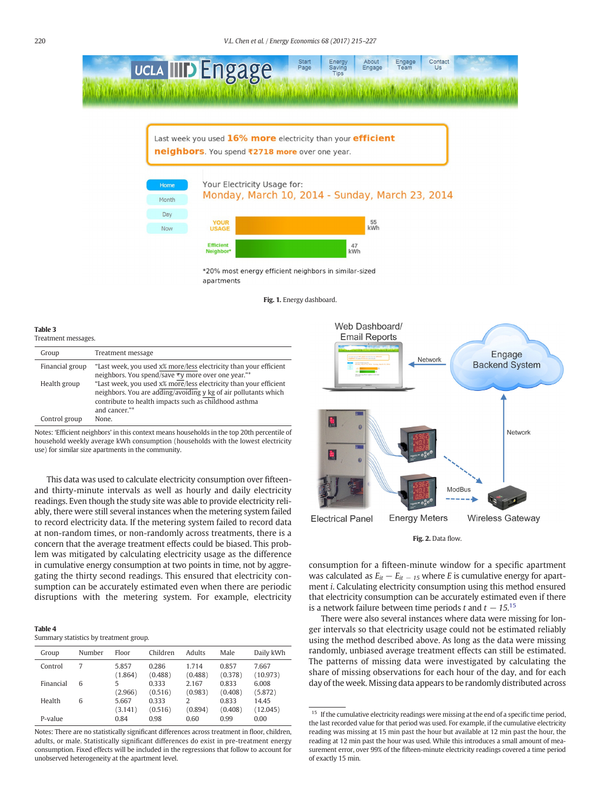<span id="page-5-0"></span>

\*20% most energy efficient neighbors in similar-sized apartments

Fig. 1. Energy dashboard.

#### Table 3

| Treatment messages. |                                                                                                                                                                                                                |  |  |  |  |  |  |  |
|---------------------|----------------------------------------------------------------------------------------------------------------------------------------------------------------------------------------------------------------|--|--|--|--|--|--|--|
| Group               | Treatment message                                                                                                                                                                                              |  |  |  |  |  |  |  |
| Financial group     | "Last week, you used x% more/less electricity than your efficient<br>neighbors. You spend/save ₹y more over one year."*                                                                                        |  |  |  |  |  |  |  |
| Health group        | "Last week, you used x% more/less electricity than your efficient<br>neighbors. You are adding/avoiding y kg of air pollutants which<br>contribute to health impacts such as childhood asthma<br>and cancer."* |  |  |  |  |  |  |  |
| Control group       | None.                                                                                                                                                                                                          |  |  |  |  |  |  |  |

Notes: 'Efficient neighbors' in this context means households in the top 20th percentile of household weekly average kWh consumption (households with the lowest electricity use) for similar size apartments in the community.

This data was used to calculate electricity consumption over fifteenand thirty-minute intervals as well as hourly and daily electricity readings. Even though the study site was able to provide electricity reliably, there were still several instances when the metering system failed to record electricity data. If the metering system failed to record data at non-random times, or non-randomly across treatments, there is a concern that the average treatment effects could be biased. This problem was mitigated by calculating electricity usage as the difference in cumulative energy consumption at two points in time, not by aggregating the thirty second readings. This ensured that electricity consumption can be accurately estimated even when there are periodic disruptions with the metering system. For example, electricity

|--|

Summary statistics by treatment group.

| Group     | Number | Floor            | Children         | Adults           | Male             | Daily kWh         |
|-----------|--------|------------------|------------------|------------------|------------------|-------------------|
| Control   | 7      | 5.857<br>(1.864) | 0.286<br>(0.488) | 1.714<br>(0.488) | 0.857<br>(0.378) | 7.667<br>(10.973) |
| Financial | 6      | 5<br>(2.966)     | 0.333<br>(0.516) | 2.167<br>(0.983) | 0.833<br>(0.408) | 6.008<br>(5.872)  |
| Health    | 6      | 5.667<br>(3.141) | 0.333<br>(0.516) | 2<br>(0.894)     | 0.833<br>(0.408) | 14.45<br>(12.045) |
| P-value   |        | 0.84             | 0.98             | 0.60             | 0.99             | 0.00              |

Notes: There are no statistically significant differences across treatment in floor, children, adults, or male. Statistically significant differences do exist in pre-treatment energy consumption. Fixed effects will be included in the regressions that follow to account for unobserved heterogeneity at the apartment level.



Fig. 2. Data flow.

consumption for a fifteen-minute window for a specific apartment was calculated as  $E_{it} - E_{it} = 15$  where E is cumulative energy for apartment i. Calculating electricity consumption using this method ensured that electricity consumption can be accurately estimated even if there is a network failure between time periods t and  $t - 15$ .<sup>15</sup>

There were also several instances where data were missing for longer intervals so that electricity usage could not be estimated reliably using the method described above. As long as the data were missing randomly, unbiased average treatment effects can still be estimated. The patterns of missing data were investigated by calculating the share of missing observations for each hour of the day, and for each day of the week. Missing data appears to be randomly distributed across

 $^{15}\,$  If the cumulative electricity readings were missing at the end of a specific time period, the last recorded value for that period was used. For example, if the cumulative electricity reading was missing at 15 min past the hour but available at 12 min past the hour, the reading at 12 min past the hour was used. While this introduces a small amount of measurement error, over 99% of the fifteen-minute electricity readings covered a time period of exactly 15 min.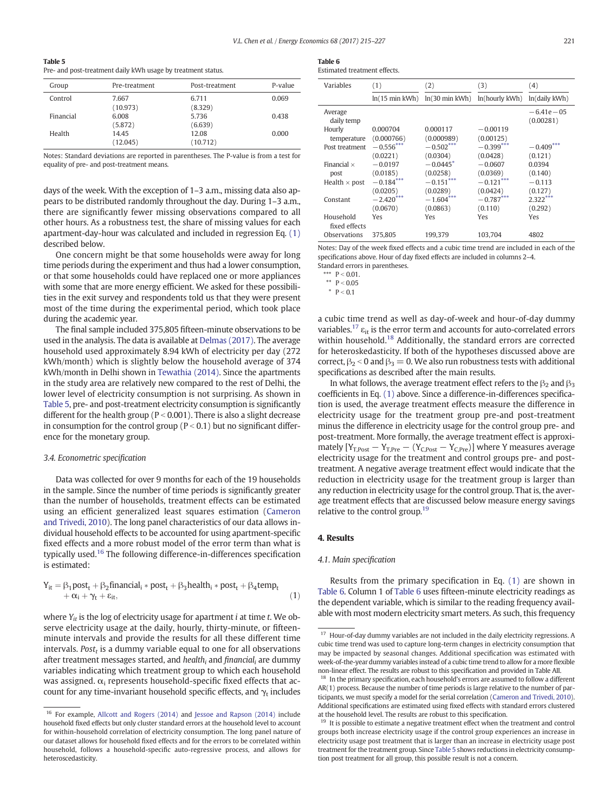<span id="page-6-0"></span>

| Table 5                                                      |  |
|--------------------------------------------------------------|--|
| Pre- and post-treatment daily kWh usage by treatment status. |  |

| Group     | Pre-treatment     | Post-treatment    | P-value |
|-----------|-------------------|-------------------|---------|
| Control   | 7.667<br>(10.973) | 6.711<br>(8.329)  | 0.069   |
| Financial | 6.008<br>(5.872)  | 5.736<br>(6.639)  | 0.438   |
| Health    | 14.45<br>(12.045) | 12.08<br>(10.712) | 0.000   |

Notes: Standard deviations are reported in parentheses. The P-value is from a test for equality of pre- and post-treatment means.

days of the week. With the exception of 1–3 a.m., missing data also appears to be distributed randomly throughout the day. During 1–3 a.m., there are significantly fewer missing observations compared to all other hours. As a robustness test, the share of missing values for each apartment-day-hour was calculated and included in regression Eq. (1) described below.

One concern might be that some households were away for long time periods during the experiment and thus had a lower consumption, or that some households could have replaced one or more appliances with some that are more energy efficient. We asked for these possibilities in the exit survey and respondents told us that they were present most of the time during the experimental period, which took place during the academic year.

The final sample included 375,805 fifteen-minute observations to be used in the analysis. The data is available at [Delmas \(2017\).](#page-11-0) The average household used approximately 8.94 kWh of electricity per day (272 kWh/month) which is slightly below the household average of 374 kWh/month in Delhi shown in [Tewathia \(2014\)](#page-12-0). Since the apartments in the study area are relatively new compared to the rest of Delhi, the lower level of electricity consumption is not surprising. As shown in Table 5, pre- and post-treatment electricity consumption is significantly different for the health group ( $P < 0.001$ ). There is also a slight decrease in consumption for the control group ( $P < 0.1$ ) but no significant difference for the monetary group.

#### 3.4. Econometric specification

Data was collected for over 9 months for each of the 19 households in the sample. Since the number of time periods is significantly greater than the number of households, treatment effects can be estimated using an efficient generalized least squares estimation ([Cameron](#page-11-0) [and Trivedi, 2010](#page-11-0)). The long panel characteristics of our data allows individual household effects to be accounted for using apartment-specific fixed effects and a more robust model of the error term than what is typically used.16 The following difference-in-differences specification is estimated:

$$
\begin{aligned} Y_{it} &= \beta_1 \text{post}_t + \beta_2 \text{financial}_i * \text{post}_t + \beta_3 \text{health}_i * \text{post}_t + \beta_4 \text{temp}_t \\ &+ \alpha_i + \gamma_t + \epsilon_{it}, \end{aligned} \tag{1}
$$

where  $Y_{it}$  is the log of electricity usage for apartment *i* at time *t*. We observe electricity usage at the daily, hourly, thirty-minute, or fifteenminute intervals and provide the results for all these different time intervals. Post<sub>t</sub> is a dummy variable equal to one for all observations after treatment messages started, and health<sub>i</sub> and financial<sub>i</sub> are dummy variables indicating which treatment group to which each household was assigned.  $\alpha_i$  represents household-specific fixed effects that account for any time-invariant household specific effects, and  $\gamma_t$  includes

| Table 6                      |
|------------------------------|
| Estimated treatment effects. |

| Variables                  | (1)                          | (2)                    | (3)            | (4)                         |
|----------------------------|------------------------------|------------------------|----------------|-----------------------------|
|                            | $ln(15 \text{ min }$ kWh $)$ | $ln(30 min$ kWh $)$    | ln(hourly kWh) | ln(daily kWh)               |
| Average<br>daily temp      |                              |                        |                | $-6.41e - 0.5$<br>(0.00281) |
| Hourly                     | 0.000704                     | 0.000117               | $-0.00119$     |                             |
| temperature                | (0.000766)                   | (0.000989)             | (0.00125)      |                             |
| Post treatment             | $-0.556***$                  | $-0.502***$            | $-0.399***$    | $-0.409***$                 |
|                            | (0.0221)                     | (0.0304)               | (0.0428)       | (0.121)                     |
| Financial $\times$         | $-0.0197$                    | $-0.0445$ <sup>*</sup> | $-0.0607$      | 0.0394                      |
| post                       | (0.0185)                     | (0.0258)               | (0.0369)       | (0.140)                     |
| Health $\times$ post       | $-0.184***$                  | $-0.151***$            | $-0.121***$    | $-0.113$                    |
|                            | (0.0205)                     | (0.0289)               | (0.0424)       | (0.127)                     |
| Constant                   | $-2.420***$                  | $-1.604***$            | $-0.787***$    | $2.322***$                  |
|                            | (0.0670)                     | (0.0863)               | (0.110)        | (0.292)                     |
| Household<br>fixed effects | Yes                          | Yes                    | Yes            | Yes                         |
| Observations               | 375.805                      | 199.379                | 103.704        | 4802                        |

Notes: Day of the week fixed effects and a cubic time trend are included in each of the specifications above. Hour of day fixed effects are included in columns 2–4. Standard errors in parentheses.

 $***$  P < 0.01.

\*\*  $P < 0.05$ 

 $P < 0.1$ 

a cubic time trend as well as day-of-week and hour-of-day dummy variables.<sup>17</sup>  $\varepsilon_{it}$  is the error term and accounts for auto-correlated errors within household.<sup>18</sup> Additionally, the standard errors are corrected for heteroskedasticity. If both of the hypotheses discussed above are correct,  $\beta_2 < 0$  and  $\beta_3 = 0$ . We also run robustness tests with additional specifications as described after the main results.

In what follows, the average treatment effect refers to the  $\beta_2$  and  $\beta_3$ coefficients in Eq. (1) above. Since a difference-in-differences specification is used, the average treatment effects measure the difference in electricity usage for the treatment group pre-and post-treatment minus the difference in electricity usage for the control group pre- and post-treatment. More formally, the average treatment effect is approximately  $[Y_{T,Post} - Y_{T,Pre} - (Y_{C,Post} - Y_{C,Pre})]$  where Y measures average electricity usage for the treatment and control groups pre- and posttreatment. A negative average treatment effect would indicate that the reduction in electricity usage for the treatment group is larger than any reduction in electricity usage for the control group. That is, the average treatment effects that are discussed below measure energy savings relative to the control group.<sup>19</sup>

## 4. Results

#### 4.1. Main specification

Results from the primary specification in Eq. (1) are shown in Table 6. Column 1 of Table 6 uses fifteen-minute electricity readings as the dependent variable, which is similar to the reading frequency available with most modern electricity smart meters. As such, this frequency

<sup>16</sup> For example, [Allcott and Rogers \(2014\)](#page-11-0) and [Jessoe and Rapson \(2014\)](#page-11-0) include household fixed effects but only cluster standard errors at the household level to account for within-household correlation of electricity consumption. The long panel nature of our dataset allows for household fixed effects and for the errors to be correlated within household, follows a household-specific auto-regressive process, and allows for heteroscedasticity.

 $17$  Hour-of-day dummy variables are not included in the daily electricity regressions. A cubic time trend was used to capture long-term changes in electricity consumption that may be impacted by seasonal changes. Additional specification was estimated with week-of-the-year dummy variables instead of a cubic time trend to allow for a more flexible non-linear effect. The results are robust to this specification and provided in Table AII.

<sup>&</sup>lt;sup>18</sup> In the primary specification, each household's errors are assumed to follow a different AR(1) process. Because the number of time periods is large relative to the number of participants, we must specify a model for the serial correlation [\(Cameron and Trivedi, 2010](#page-11-0)). Additional specifications are estimated using fixed effects with standard errors clustered at the household level. The results are robust to this specification.

 $19$  It is possible to estimate a negative treatment effect when the treatment and control groups both increase electricity usage if the control group experiences an increase in electricity usage post treatment that is larger than an increase in electricity usage post treatment for the treatment group. Since Table 5 shows reductions in electricity consumption post treatment for all group, this possible result is not a concern.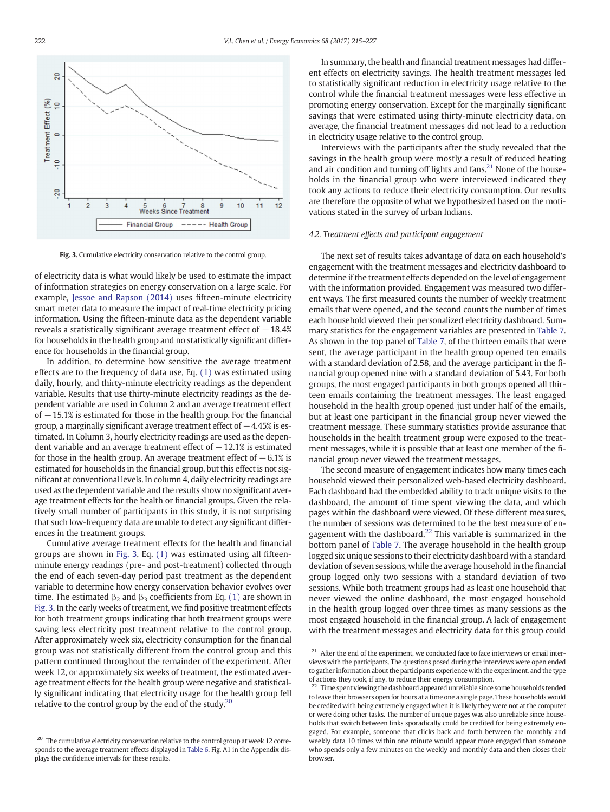

Fig. 3. Cumulative electricity conservation relative to the control group.

of electricity data is what would likely be used to estimate the impact of information strategies on energy conservation on a large scale. For example, [Jessoe and Rapson \(2014\)](#page-11-0) uses fifteen-minute electricity smart meter data to measure the impact of real-time electricity pricing information. Using the fifteen-minute data as the dependent variable reveals a statistically significant average treatment effect of  $-18.4%$ for households in the health group and no statistically significant difference for households in the financial group.

In addition, to determine how sensitive the average treatment effects are to the frequency of data use, Eq. [\(1\)](#page-6-0) was estimated using daily, hourly, and thirty-minute electricity readings as the dependent variable. Results that use thirty-minute electricity readings as the dependent variable are used in Column 2 and an average treatment effect of −15.1% is estimated for those in the health group. For the financial group, a marginally significant average treatment effect of −4.45% is estimated. In Column 3, hourly electricity readings are used as the dependent variable and an average treatment effect of  $-12.1\%$  is estimated for those in the health group. An average treatment effect of  $-6.1\%$  is estimated for households in the financial group, but this effect is not significant at conventional levels. In column 4, daily electricity readings are used as the dependent variable and the results show no significant average treatment effects for the health or financial groups. Given the relatively small number of participants in this study, it is not surprising that such low-frequency data are unable to detect any significant differences in the treatment groups.

Cumulative average treatment effects for the health and financial groups are shown in Fig. 3. Eq. [\(1\)](#page-6-0) was estimated using all fifteenminute energy readings (pre- and post-treatment) collected through the end of each seven-day period past treatment as the dependent variable to determine how energy conservation behavior evolves over time. The estimated  $\beta_2$  and  $\beta_3$  coefficients from Eq. [\(1\)](#page-6-0) are shown in Fig. 3. In the early weeks of treatment, we find positive treatment effects for both treatment groups indicating that both treatment groups were saving less electricity post treatment relative to the control group. After approximately week six, electricity consumption for the financial group was not statistically different from the control group and this pattern continued throughout the remainder of the experiment. After week 12, or approximately six weeks of treatment, the estimated average treatment effects for the health group were negative and statistically significant indicating that electricity usage for the health group fell relative to the control group by the end of the study.<sup>20</sup>

In summary, the health and financial treatment messages had different effects on electricity savings. The health treatment messages led to statistically significant reduction in electricity usage relative to the control while the financial treatment messages were less effective in promoting energy conservation. Except for the marginally significant savings that were estimated using thirty-minute electricity data, on average, the financial treatment messages did not lead to a reduction in electricity usage relative to the control group.

Interviews with the participants after the study revealed that the savings in the health group were mostly a result of reduced heating and air condition and turning off lights and fans. $21$  None of the households in the financial group who were interviewed indicated they took any actions to reduce their electricity consumption. Our results are therefore the opposite of what we hypothesized based on the motivations stated in the survey of urban Indians.

#### 4.2. Treatment effects and participant engagement

The next set of results takes advantage of data on each household's engagement with the treatment messages and electricity dashboard to determine if the treatment effects depended on the level of engagement with the information provided. Engagement was measured two different ways. The first measured counts the number of weekly treatment emails that were opened, and the second counts the number of times each household viewed their personalized electricity dashboard. Summary statistics for the engagement variables are presented in [Table 7.](#page-8-0) As shown in the top panel of [Table 7,](#page-8-0) of the thirteen emails that were sent, the average participant in the health group opened ten emails with a standard deviation of 2.58, and the average participant in the financial group opened nine with a standard deviation of 5.43. For both groups, the most engaged participants in both groups opened all thirteen emails containing the treatment messages. The least engaged household in the health group opened just under half of the emails, but at least one participant in the financial group never viewed the treatment message. These summary statistics provide assurance that households in the health treatment group were exposed to the treatment messages, while it is possible that at least one member of the financial group never viewed the treatment messages.

The second measure of engagement indicates how many times each household viewed their personalized web-based electricity dashboard. Each dashboard had the embedded ability to track unique visits to the dashboard, the amount of time spent viewing the data, and which pages within the dashboard were viewed. Of these different measures, the number of sessions was determined to be the best measure of engagement with the dashboard. $22$  This variable is summarized in the bottom panel of [Table 7.](#page-8-0) The average household in the health group logged six unique sessions to their electricity dashboard with a standard deviation of seven sessions, while the average household in the financial group logged only two sessions with a standard deviation of two sessions. While both treatment groups had as least one household that never viewed the online dashboard, the most engaged household in the health group logged over three times as many sessions as the most engaged household in the financial group. A lack of engagement with the treatment messages and electricity data for this group could

 $20$  The cumulative electricity conservation relative to the control group at week 12 corresponds to the average treatment effects displayed in [Table 6](#page-6-0). Fig. A1 in the Appendix displays the confidence intervals for these results.

<sup>&</sup>lt;sup>21</sup> After the end of the experiment, we conducted face to face interviews or email interviews with the participants. The questions posed during the interviews were open ended to gather information about the participants experience with the experiment, and the type of actions they took, if any, to reduce their energy consumption.

<sup>22</sup> Time spent viewing the dashboard appeared unreliable since some households tended to leave their browsers open for hours at a time one a single page. These households would be credited with being extremely engaged when it is likely they were not at the computer or were doing other tasks. The number of unique pages was also unreliable since households that switch between links sporadically could be credited for being extremely engaged. For example, someone that clicks back and forth between the monthly and weekly data 10 times within one minute would appear more engaged than someone who spends only a few minutes on the weekly and monthly data and then closes their browser.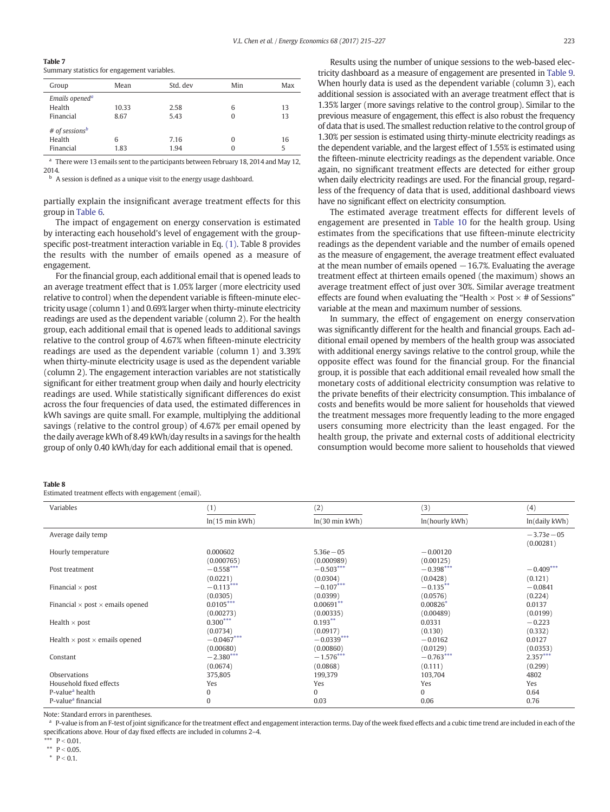<span id="page-8-0"></span>

| Table 7 |  |                                              |  |
|---------|--|----------------------------------------------|--|
|         |  | Summary statistics for engagement variables. |  |

| Group |                            | Mean  | Std. dev | Min | Max |
|-------|----------------------------|-------|----------|-----|-----|
|       | Emails opened <sup>a</sup> |       |          |     |     |
|       | Health                     | 10.33 | 2.58     | 6   | 13  |
|       | Financial                  | 8.67  | 5.43     |     | 13  |
|       | # of sessions <sup>b</sup> |       |          |     |     |
|       | Health                     | 6     | 7.16     |     | 16  |
|       | Financial                  | 1.83  | 1.94     |     | 5   |

There were 13 emails sent to the participants between February 18, 2014 and May 12, 2014.

<sup>b</sup> A session is defined as a unique visit to the energy usage dashboard.

partially explain the insignificant average treatment effects for this group in [Table 6](#page-6-0).

The impact of engagement on energy conservation is estimated by interacting each household's level of engagement with the groupspecific post-treatment interaction variable in Eq. [\(1\)](#page-6-0). Table 8 provides the results with the number of emails opened as a measure of engagement.

For the financial group, each additional email that is opened leads to an average treatment effect that is 1.05% larger (more electricity used relative to control) when the dependent variable is fifteen-minute electricity usage (column 1) and 0.69% larger when thirty-minute electricity readings are used as the dependent variable (column 2). For the health group, each additional email that is opened leads to additional savings relative to the control group of 4.67% when fifteen-minute electricity readings are used as the dependent variable (column 1) and 3.39% when thirty-minute electricity usage is used as the dependent variable (column 2). The engagement interaction variables are not statistically significant for either treatment group when daily and hourly electricity readings are used. While statistically significant differences do exist across the four frequencies of data used, the estimated differences in kWh savings are quite small. For example, multiplying the additional savings (relative to the control group) of 4.67% per email opened by the daily average kWh of 8.49 kWh/day results in a savings for the health group of only 0.40 kWh/day for each additional email that is opened.

Results using the number of unique sessions to the web-based electricity dashboard as a measure of engagement are presented in [Table 9.](#page-9-0) When hourly data is used as the dependent variable (column 3), each additional session is associated with an average treatment effect that is 1.35% larger (more savings relative to the control group). Similar to the previous measure of engagement, this effect is also robust the frequency of data that is used. The smallest reduction relative to the control group of 1.30% per session is estimated using thirty-minute electricity readings as the dependent variable, and the largest effect of 1.55% is estimated using the fifteen-minute electricity readings as the dependent variable. Once again, no significant treatment effects are detected for either group when daily electricity readings are used. For the financial group, regardless of the frequency of data that is used, additional dashboard views have no significant effect on electricity consumption.

The estimated average treatment effects for different levels of engagement are presented in [Table 10](#page-9-0) for the health group. Using estimates from the specifications that use fifteen-minute electricity readings as the dependent variable and the number of emails opened as the measure of engagement, the average treatment effect evaluated at the mean number of emails opened  $-16.7$ %. Evaluating the average treatment effect at thirteen emails opened (the maximum) shows an average treatment effect of just over 30%. Similar average treatment effects are found when evaluating the "Health  $\times$  Post  $\times$  # of Sessions" variable at the mean and maximum number of sessions.

In summary, the effect of engagement on energy conservation was significantly different for the health and financial groups. Each additional email opened by members of the health group was associated with additional energy savings relative to the control group, while the opposite effect was found for the financial group. For the financial group, it is possible that each additional email revealed how small the monetary costs of additional electricity consumption was relative to the private benefits of their electricity consumption. This imbalance of costs and benefits would be more salient for households that viewed the treatment messages more frequently leading to the more engaged users consuming more electricity than the least engaged. For the health group, the private and external costs of additional electricity consumption would become more salient to households that viewed

#### Table 8

Estimated treatment effects with engagement (email).

| Variables                                      | (1)                 | (2)                 | (3)            | (4)           |
|------------------------------------------------|---------------------|---------------------|----------------|---------------|
|                                                | $ln(15 min$ kWh $)$ | $ln(30 min$ kWh $)$ | ln(hourly kWh) | ln(daily kWh) |
| Average daily temp                             |                     |                     |                | $-3.73e - 05$ |
|                                                |                     |                     |                | (0.00281)     |
| Hourly temperature                             | 0.000602            | $5.36e - 05$        | $-0.00120$     |               |
|                                                | (0.000765)          | (0.000989)          | (0.00125)      |               |
| Post treatment                                 | $-0.558***$         | $-0.503***$         | $-0.398***$    | $-0.409***$   |
|                                                | (0.0221)            | (0.0304)            | (0.0428)       | (0.121)       |
| Financial $\times$ post                        | $-0.113***$         | $-0.107***$         | $-0.135***$    | $-0.0841$     |
|                                                | (0.0305)            | (0.0399)            | (0.0576)       | (0.224)       |
| Financial $\times$ post $\times$ emails opened | $0.0105***$         | $0.00691**$         | $0.00826*$     | 0.0137        |
|                                                | (0.00273)           | (0.00335)           | (0.00489)      | (0.0199)      |
| Health $\times$ post                           | $0.300***$          | $0.193***$          | 0.0331         | $-0.223$      |
|                                                | (0.0734)            | (0.0917)            | (0.130)        | (0.332)       |
| Health $\times$ post $\times$ emails opened    | $-0.0467***$        | $-0.0339***$        | $-0.0162$      | 0.0127        |
|                                                | (0.00680)           | (0.00860)           | (0.0129)       | (0.0353)      |
| Constant                                       | $-2.380***$         | $-1.576***$         | $-0.763***$    | $2.357***$    |
|                                                | (0.0674)            | (0.0868)            | (0.111)        | (0.299)       |
| Observations                                   | 375,805             | 199,379             | 103,704        | 4802          |
| Household fixed effects                        | Yes                 | Yes                 | Yes            | Yes           |
| P-value <sup>a</sup> health                    | 0                   | $\Omega$            | $\Omega$       | 0.64          |
| P-value <sup>a</sup> financial                 | $\Omega$            | 0.03                | 0.06           | 0.76          |

Note: Standard errors in parentheses.

<sup>a</sup> P-value is from an F-test of joint significance for the treatment effect and engagement interaction terms. Day of the week fixed effects and a cubic time trend are included in each of the specifications above. Hour of day fixed effects are included in columns 2–4.

\*\*  $P < 0.01$ .

\*\*  $P < 0.05$ .

 $*$  P < 0.1.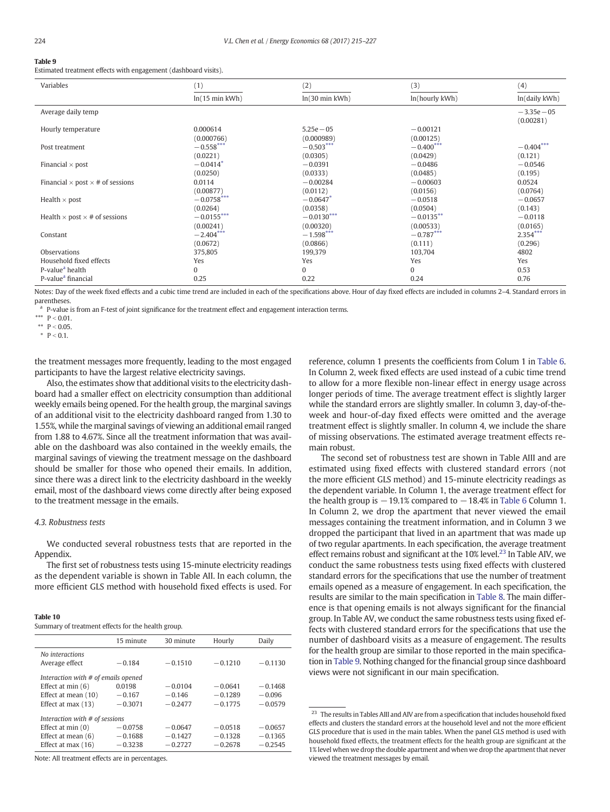#### <span id="page-9-0"></span>Table 9

Estimated treatment effects with engagement (dashboard visits).

| $ln(15 \text{ min } kWh)$<br>$ln(30 \text{ min } kWh)$<br>ln(hourly kWh)<br>ln(daily kWh)<br>Average daily temp<br>$-3.35e - 05$<br>(0.00281)<br>0.000614<br>$5.25e - 05$<br>$-0.00121$<br>Hourly temperature<br>(0.000766)<br>(0.000989)<br>(0.00125)<br>$-0.503***$<br>$-0.400***$<br>$-0.404***$<br>$-0.558***$<br>Post treatment<br>(0.0221)<br>(0.0429)<br>(0.0305)<br>(0.121)<br>$-0.0414*$<br>$-0.0486$<br>Financial $\times$ post<br>$-0.0391$<br>$-0.0546$<br>(0.0250)<br>(0.0333)<br>(0.0485)<br>(0.195)<br>0.0114<br>0.0524<br>Financial $\times$ post $\times$ # of sessions<br>$-0.00284$<br>$-0.00603$<br>(0.00877)<br>(0.0112)<br>(0.0156)<br>(0.0764)<br>$-0.0758***$<br>$-0.0647*$<br>$-0.0518$<br>$-0.0657$<br>Health $\times$ post<br>(0.0358)<br>(0.0264)<br>(0.0504)<br>(0.143)<br>$-0.0155***$<br>$-0.0130***$<br>$-0.0135***$<br>Health $\times$ post $\times$ # of sessions<br>$-0.0118$<br>(0.00241)<br>(0.00320)<br>(0.00533)<br>(0.0165)<br>$-2.404***$<br>$-0.787***$<br>$2.354***$<br>$-1.598***$<br>Constant<br>(0.0672)<br>(0.0866)<br>(0.111)<br>(0.296)<br>Observations<br>375,805<br>199,379<br>103,704<br>4802<br>Household fixed effects<br>Yes<br>Yes<br>Yes<br>Yes<br>P-value <sup>a</sup> health<br>$\mathbf{0}$<br>0.53<br>0<br>0 | Variables                      | (1)  | (2)  | (3)  | (4)  |
|---------------------------------------------------------------------------------------------------------------------------------------------------------------------------------------------------------------------------------------------------------------------------------------------------------------------------------------------------------------------------------------------------------------------------------------------------------------------------------------------------------------------------------------------------------------------------------------------------------------------------------------------------------------------------------------------------------------------------------------------------------------------------------------------------------------------------------------------------------------------------------------------------------------------------------------------------------------------------------------------------------------------------------------------------------------------------------------------------------------------------------------------------------------------------------------------------------------------------------------------------------------------------|--------------------------------|------|------|------|------|
|                                                                                                                                                                                                                                                                                                                                                                                                                                                                                                                                                                                                                                                                                                                                                                                                                                                                                                                                                                                                                                                                                                                                                                                                                                                                           |                                |      |      |      |      |
|                                                                                                                                                                                                                                                                                                                                                                                                                                                                                                                                                                                                                                                                                                                                                                                                                                                                                                                                                                                                                                                                                                                                                                                                                                                                           |                                |      |      |      |      |
|                                                                                                                                                                                                                                                                                                                                                                                                                                                                                                                                                                                                                                                                                                                                                                                                                                                                                                                                                                                                                                                                                                                                                                                                                                                                           |                                |      |      |      |      |
|                                                                                                                                                                                                                                                                                                                                                                                                                                                                                                                                                                                                                                                                                                                                                                                                                                                                                                                                                                                                                                                                                                                                                                                                                                                                           |                                |      |      |      |      |
|                                                                                                                                                                                                                                                                                                                                                                                                                                                                                                                                                                                                                                                                                                                                                                                                                                                                                                                                                                                                                                                                                                                                                                                                                                                                           |                                |      |      |      |      |
|                                                                                                                                                                                                                                                                                                                                                                                                                                                                                                                                                                                                                                                                                                                                                                                                                                                                                                                                                                                                                                                                                                                                                                                                                                                                           |                                |      |      |      |      |
|                                                                                                                                                                                                                                                                                                                                                                                                                                                                                                                                                                                                                                                                                                                                                                                                                                                                                                                                                                                                                                                                                                                                                                                                                                                                           |                                |      |      |      |      |
|                                                                                                                                                                                                                                                                                                                                                                                                                                                                                                                                                                                                                                                                                                                                                                                                                                                                                                                                                                                                                                                                                                                                                                                                                                                                           |                                |      |      |      |      |
|                                                                                                                                                                                                                                                                                                                                                                                                                                                                                                                                                                                                                                                                                                                                                                                                                                                                                                                                                                                                                                                                                                                                                                                                                                                                           |                                |      |      |      |      |
|                                                                                                                                                                                                                                                                                                                                                                                                                                                                                                                                                                                                                                                                                                                                                                                                                                                                                                                                                                                                                                                                                                                                                                                                                                                                           |                                |      |      |      |      |
|                                                                                                                                                                                                                                                                                                                                                                                                                                                                                                                                                                                                                                                                                                                                                                                                                                                                                                                                                                                                                                                                                                                                                                                                                                                                           |                                |      |      |      |      |
|                                                                                                                                                                                                                                                                                                                                                                                                                                                                                                                                                                                                                                                                                                                                                                                                                                                                                                                                                                                                                                                                                                                                                                                                                                                                           |                                |      |      |      |      |
|                                                                                                                                                                                                                                                                                                                                                                                                                                                                                                                                                                                                                                                                                                                                                                                                                                                                                                                                                                                                                                                                                                                                                                                                                                                                           |                                |      |      |      |      |
|                                                                                                                                                                                                                                                                                                                                                                                                                                                                                                                                                                                                                                                                                                                                                                                                                                                                                                                                                                                                                                                                                                                                                                                                                                                                           |                                |      |      |      |      |
|                                                                                                                                                                                                                                                                                                                                                                                                                                                                                                                                                                                                                                                                                                                                                                                                                                                                                                                                                                                                                                                                                                                                                                                                                                                                           |                                |      |      |      |      |
|                                                                                                                                                                                                                                                                                                                                                                                                                                                                                                                                                                                                                                                                                                                                                                                                                                                                                                                                                                                                                                                                                                                                                                                                                                                                           |                                |      |      |      |      |
|                                                                                                                                                                                                                                                                                                                                                                                                                                                                                                                                                                                                                                                                                                                                                                                                                                                                                                                                                                                                                                                                                                                                                                                                                                                                           |                                |      |      |      |      |
|                                                                                                                                                                                                                                                                                                                                                                                                                                                                                                                                                                                                                                                                                                                                                                                                                                                                                                                                                                                                                                                                                                                                                                                                                                                                           |                                |      |      |      |      |
|                                                                                                                                                                                                                                                                                                                                                                                                                                                                                                                                                                                                                                                                                                                                                                                                                                                                                                                                                                                                                                                                                                                                                                                                                                                                           |                                |      |      |      |      |
|                                                                                                                                                                                                                                                                                                                                                                                                                                                                                                                                                                                                                                                                                                                                                                                                                                                                                                                                                                                                                                                                                                                                                                                                                                                                           |                                |      |      |      |      |
|                                                                                                                                                                                                                                                                                                                                                                                                                                                                                                                                                                                                                                                                                                                                                                                                                                                                                                                                                                                                                                                                                                                                                                                                                                                                           |                                |      |      |      |      |
|                                                                                                                                                                                                                                                                                                                                                                                                                                                                                                                                                                                                                                                                                                                                                                                                                                                                                                                                                                                                                                                                                                                                                                                                                                                                           | P-value <sup>a</sup> financial | 0.25 | 0.22 | 0.24 | 0.76 |

Notes: Day of the week fixed effects and a cubic time trend are included in each of the specifications above. Hour of day fixed effects are included in columns 2-4. Standard errors in parentheses.

<sup>a</sup> P-value is from an F-test of joint significance for the treatment effect and engagement interaction terms.

\*\*  $P < 0.05$ .

 $P < 0.1.$ 

the treatment messages more frequently, leading to the most engaged participants to have the largest relative electricity savings.

Also, the estimates show that additional visits to the electricity dashboard had a smaller effect on electricity consumption than additional weekly emails being opened. For the health group, the marginal savings of an additional visit to the electricity dashboard ranged from 1.30 to 1.55%, while the marginal savings of viewing an additional email ranged from 1.88 to 4.67%. Since all the treatment information that was available on the dashboard was also contained in the weekly emails, the marginal savings of viewing the treatment message on the dashboard should be smaller for those who opened their emails. In addition, since there was a direct link to the electricity dashboard in the weekly email, most of the dashboard views come directly after being exposed to the treatment message in the emails.

## 4.3. Robustness tests

We conducted several robustness tests that are reported in the Appendix.

The first set of robustness tests using 15-minute electricity readings as the dependent variable is shown in Table AII. In each column, the more efficient GLS method with household fixed effects is used. For

#### Table 10

Summary of treatment effects for the health group.

|                                     | 15 minute | 30 minute | Hourly    | Daily     |  |  |
|-------------------------------------|-----------|-----------|-----------|-----------|--|--|
| No interactions                     |           |           |           |           |  |  |
| Average effect                      | $-0.184$  | $-0.1510$ | $-0.1210$ | $-0.1130$ |  |  |
| Interaction with # of emails opened |           |           |           |           |  |  |
| Effect at $min(6)$                  | 0.0198    | $-0.0104$ | $-0.0641$ | $-0.1468$ |  |  |
| Effect at mean (10)                 | $-0.167$  | $-0.146$  | $-0.1289$ | $-0.096$  |  |  |
| Effect at max (13)                  | $-0.3071$ | $-0.2477$ | $-0.1775$ | $-0.0579$ |  |  |
| Interaction with # of sessions      |           |           |           |           |  |  |
| Effect at $min(0)$                  | $-0.0758$ | $-0.0647$ | $-0.0518$ | $-0.0657$ |  |  |
| Effect at mean $(6)$                | $-0.1688$ | $-0.1427$ | $-0.1328$ | $-0.1365$ |  |  |
| Effect at max $(16)$                | $-0.3238$ | $-0.2727$ | $-0.2678$ | $-0.2545$ |  |  |

Note: All treatment effects are in percentages.

reference, column 1 presents the coefficients from Colum 1 in [Table 6.](#page-6-0) In Column 2, week fixed effects are used instead of a cubic time trend to allow for a more flexible non-linear effect in energy usage across longer periods of time. The average treatment effect is slightly larger while the standard errors are slightly smaller. In column 3, day-of-theweek and hour-of-day fixed effects were omitted and the average treatment effect is slightly smaller. In column 4, we include the share of missing observations. The estimated average treatment effects remain robust.

The second set of robustness test are shown in Table AIII and are estimated using fixed effects with clustered standard errors (not the more efficient GLS method) and 15-minute electricity readings as the dependent variable. In Column 1, the average treatment effect for the health group is  $-19.1\%$  compared to  $-18.4\%$  in [Table 6](#page-6-0) Column 1. In Column 2, we drop the apartment that never viewed the email messages containing the treatment information, and in Column 3 we dropped the participant that lived in an apartment that was made up of two regular apartments. In each specification, the average treatment effect remains robust and significant at the 10% level.<sup>23</sup> In Table AIV, we conduct the same robustness tests using fixed effects with clustered standard errors for the specifications that use the number of treatment emails opened as a measure of engagement. In each specification, the results are similar to the main specification in [Table 8](#page-8-0). The main difference is that opening emails is not always significant for the financial group. In Table AV, we conduct the same robustness tests using fixed effects with clustered standard errors for the specifications that use the number of dashboard visits as a measure of engagement. The results for the health group are similar to those reported in the main specification in Table 9. Nothing changed for the financial group since dashboard views were not significant in our main specification.

<sup>\*\*\*</sup>  $P < 0.01$ .

 $^{\rm 23}$  The results in Tables AIII and AIV are from a specification that includes household fixed effects and clusters the standard errors at the household level and not the more efficient GLS procedure that is used in the main tables. When the panel GLS method is used with household fixed effects, the treatment effects for the health group are significant at the 1% level when we drop the double apartment and when we drop the apartment that never viewed the treatment messages by email.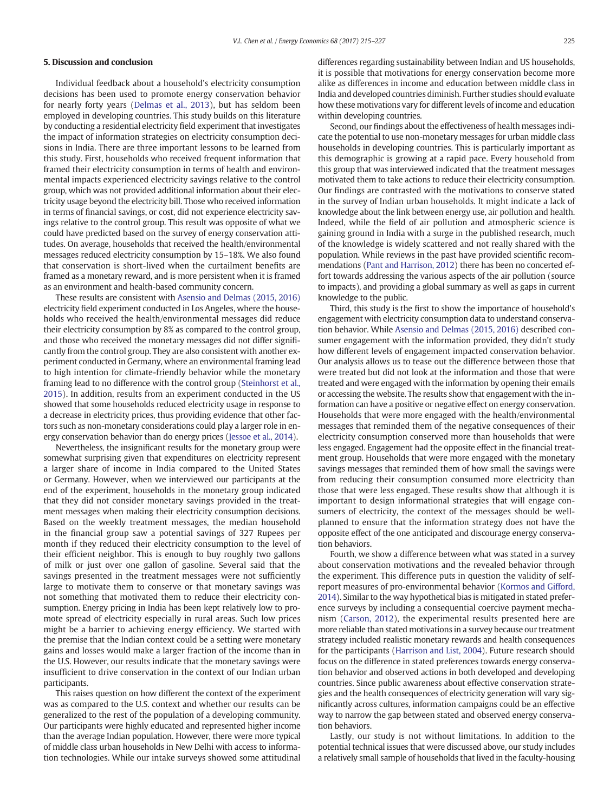## 5. Discussion and conclusion

Individual feedback about a household's electricity consumption decisions has been used to promote energy conservation behavior for nearly forty years [\(Delmas et al., 2013\)](#page-11-0), but has seldom been employed in developing countries. This study builds on this literature by conducting a residential electricity field experiment that investigates the impact of information strategies on electricity consumption decisions in India. There are three important lessons to be learned from this study. First, households who received frequent information that framed their electricity consumption in terms of health and environmental impacts experienced electricity savings relative to the control group, which was not provided additional information about their electricity usage beyond the electricity bill. Those who received information in terms of financial savings, or cost, did not experience electricity savings relative to the control group. This result was opposite of what we could have predicted based on the survey of energy conservation attitudes. On average, households that received the health/environmental messages reduced electricity consumption by 15–18%. We also found that conservation is short-lived when the curtailment benefits are framed as a monetary reward, and is more persistent when it is framed as an environment and health-based community concern.

These results are consistent with [Asensio and Delmas \(2015, 2016\)](#page-11-0) electricity field experiment conducted in Los Angeles, where the households who received the health/environmental messages did reduce their electricity consumption by 8% as compared to the control group, and those who received the monetary messages did not differ significantly from the control group. They are also consistent with another experiment conducted in Germany, where an environmental framing lead to high intention for climate-friendly behavior while the monetary framing lead to no difference with the control group ([Steinhorst et al.,](#page-12-0) [2015\)](#page-12-0). In addition, results from an experiment conducted in the US showed that some households reduced electricity usage in response to a decrease in electricity prices, thus providing evidence that other factors such as non-monetary considerations could play a larger role in energy conservation behavior than do energy prices ([Jessoe et al., 2014\)](#page-11-0).

Nevertheless, the insignificant results for the monetary group were somewhat surprising given that expenditures on electricity represent a larger share of income in India compared to the United States or Germany. However, when we interviewed our participants at the end of the experiment, households in the monetary group indicated that they did not consider monetary savings provided in the treatment messages when making their electricity consumption decisions. Based on the weekly treatment messages, the median household in the financial group saw a potential savings of 327 Rupees per month if they reduced their electricity consumption to the level of their efficient neighbor. This is enough to buy roughly two gallons of milk or just over one gallon of gasoline. Several said that the savings presented in the treatment messages were not sufficiently large to motivate them to conserve or that monetary savings was not something that motivated them to reduce their electricity consumption. Energy pricing in India has been kept relatively low to promote spread of electricity especially in rural areas. Such low prices might be a barrier to achieving energy efficiency. We started with the premise that the Indian context could be a setting were monetary gains and losses would make a larger fraction of the income than in the U.S. However, our results indicate that the monetary savings were insufficient to drive conservation in the context of our Indian urban participants.

This raises question on how different the context of the experiment was as compared to the U.S. context and whether our results can be generalized to the rest of the population of a developing community. Our participants were highly educated and represented higher income than the average Indian population. However, there were more typical of middle class urban households in New Delhi with access to information technologies. While our intake surveys showed some attitudinal

differences regarding sustainability between Indian and US households, it is possible that motivations for energy conservation become more alike as differences in income and education between middle class in India and developed countries diminish. Further studies should evaluate how these motivations vary for different levels of income and education within developing countries.

Second, our findings about the effectiveness of health messages indicate the potential to use non-monetary messages for urban middle class households in developing countries. This is particularly important as this demographic is growing at a rapid pace. Every household from this group that was interviewed indicated that the treatment messages motivated them to take actions to reduce their electricity consumption. Our findings are contrasted with the motivations to conserve stated in the survey of Indian urban households. It might indicate a lack of knowledge about the link between energy use, air pollution and health. Indeed, while the field of air pollution and atmospheric science is gaining ground in India with a surge in the published research, much of the knowledge is widely scattered and not really shared with the population. While reviews in the past have provided scientific recommendations [\(Pant and Harrison, 2012\)](#page-11-0) there has been no concerted effort towards addressing the various aspects of the air pollution (source to impacts), and providing a global summary as well as gaps in current knowledge to the public.

Third, this study is the first to show the importance of household's engagement with electricity consumption data to understand conservation behavior. While [Asensio and Delmas \(2015, 2016\)](#page-11-0) described consumer engagement with the information provided, they didn't study how different levels of engagement impacted conservation behavior. Our analysis allows us to tease out the difference between those that were treated but did not look at the information and those that were treated and were engaged with the information by opening their emails or accessing the website. The results show that engagement with the information can have a positive or negative effect on energy conservation. Households that were more engaged with the health/environmental messages that reminded them of the negative consequences of their electricity consumption conserved more than households that were less engaged. Engagement had the opposite effect in the financial treatment group. Households that were more engaged with the monetary savings messages that reminded them of how small the savings were from reducing their consumption consumed more electricity than those that were less engaged. These results show that although it is important to design informational strategies that will engage consumers of electricity, the context of the messages should be wellplanned to ensure that the information strategy does not have the opposite effect of the one anticipated and discourage energy conservation behaviors.

Fourth, we show a difference between what was stated in a survey about conservation motivations and the revealed behavior through the experiment. This difference puts in question the validity of selfreport measures of pro-environmental behavior ([Kormos and Gifford,](#page-11-0) [2014](#page-11-0)). Similar to the way hypothetical bias is mitigated in stated preference surveys by including a consequential coercive payment mechanism ([Carson, 2012\)](#page-11-0), the experimental results presented here are more reliable than stated motivations in a survey because our treatment strategy included realistic monetary rewards and health consequences for the participants [\(Harrison and List, 2004](#page-11-0)). Future research should focus on the difference in stated preferences towards energy conservation behavior and observed actions in both developed and developing countries. Since public awareness about effective conservation strategies and the health consequences of electricity generation will vary significantly across cultures, information campaigns could be an effective way to narrow the gap between stated and observed energy conservation behaviors.

Lastly, our study is not without limitations. In addition to the potential technical issues that were discussed above, our study includes a relatively small sample of households that lived in the faculty-housing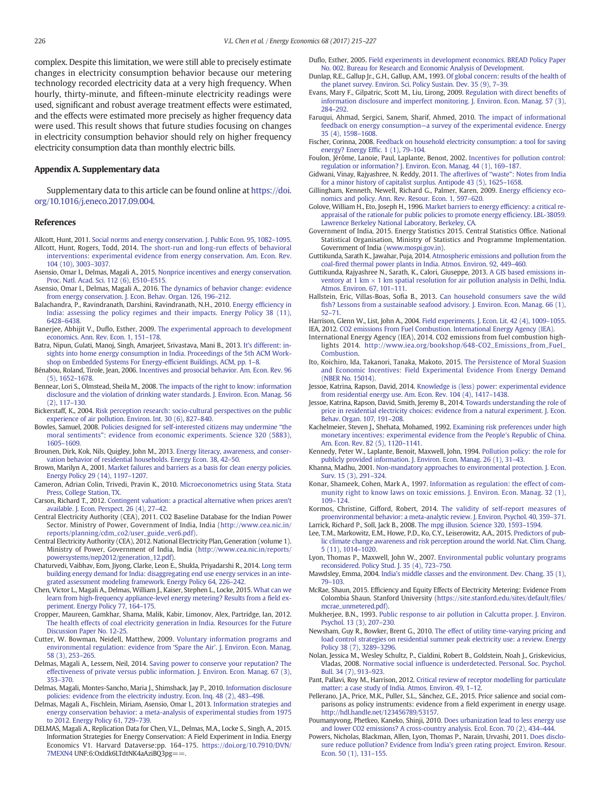<span id="page-11-0"></span>complex. Despite this limitation, we were still able to precisely estimate changes in electricity consumption behavior because our metering technology recorded electricity data at a very high frequency. When hourly, thirty-minute, and fifteen-minute electricity readings were used, significant and robust average treatment effects were estimated, and the effects were estimated more precisely as higher frequency data were used. This result shows that future studies focusing on changes in electricity consumption behavior should rely on higher frequency electricity consumption data than monthly electric bills.

#### Appendix A. Supplementary data

Supplementary data to this article can be found online at [https://doi.](https://doi.org/10.1016/j.eneco.2017.09.004) [org/10.1016/j.eneco.2017.09.004](https://doi.org/10.1016/j.eneco.2017.09.004).

#### References

- Allcott, Hunt, 2011. [Social norms and energy conservation. J. Public Econ. 95, 1082](http://refhub.elsevier.com/S0140-9883(17)30307-9/rf0005)–1095. Allcott, Hunt, Rogers, Todd, 2014. [The short-run and long-run effects of behavioral](http://refhub.elsevier.com/S0140-9883(17)30307-9/rf0010) [interventions: experimental evidence from energy conservation. Am. Econ. Rev.](http://refhub.elsevier.com/S0140-9883(17)30307-9/rf0010)
- [104 \(10\), 3003](http://refhub.elsevier.com/S0140-9883(17)30307-9/rf0010)–3037. Asensio, Omar I., Delmas, Magali A., 2015. [Nonprice incentives and energy conservation.](http://refhub.elsevier.com/S0140-9883(17)30307-9/rf0015)
- [Proc. Natl. Acad. Sci. 112 \(6\), E510](http://refhub.elsevier.com/S0140-9883(17)30307-9/rf0015)–E515. Asensio, Omar I., Delmas, Magali A., 2016. [The dynamics of behavior change: evidence](http://refhub.elsevier.com/S0140-9883(17)30307-9/rf0020)
- [from energy conservation. J. Econ. Behav. Organ. 126, 196](http://refhub.elsevier.com/S0140-9883(17)30307-9/rf0020)–212. Balachandra, P., Ravindranath, Darshini, Ravindranath, N.H., 2010. [Energy ef](http://refhub.elsevier.com/S0140-9883(17)30307-9/rf0025)ficiency in
- [India: assessing the policy regimes and their impacts. Energy Policy 38 \(11\),](http://refhub.elsevier.com/S0140-9883(17)30307-9/rf0025) 6428–[6438.](http://refhub.elsevier.com/S0140-9883(17)30307-9/rf0025)
- Banerjee, Abhijit V., Duflo, Esther, 2009. [The experimental approach to development](http://refhub.elsevier.com/S0140-9883(17)30307-9/rf0030) [economics. Ann. Rev. Econ. 1, 151](http://refhub.elsevier.com/S0140-9883(17)30307-9/rf0030)–178.
- Batra, Nipun, Gulati, Manoj, Singh, Amarjeet, Srivastava, Mani B., 2013. [It's different: in](http://refhub.elsevier.com/S0140-9883(17)30307-9/rf0050)[sights into home energy consumption in India. Proceedings of the 5th ACM Work](http://refhub.elsevier.com/S0140-9883(17)30307-9/rf0050)[shop on Embedded Systems For Energy-ef](http://refhub.elsevier.com/S0140-9883(17)30307-9/rf0050)ficient Buildings. ACM, pp. 1–8.
- Bénabou, Roland, Tirole, Jean, 2006. [Incentives and prosocial behavior. Am. Econ. Rev. 96](http://refhub.elsevier.com/S0140-9883(17)30307-9/rf0055) [\(5\), 1652](http://refhub.elsevier.com/S0140-9883(17)30307-9/rf0055)–1678.
- Bennear, Lori S., Olmstead, Sheila M., 2008. [The impacts of the right to know: information](http://refhub.elsevier.com/S0140-9883(17)30307-9/rf0060) [disclosure and the violation of drinking water standards. J. Environ. Econ. Manag. 56](http://refhub.elsevier.com/S0140-9883(17)30307-9/rf0060) [\(2\), 117](http://refhub.elsevier.com/S0140-9883(17)30307-9/rf0060)–130.
- Bickerstaff, K., 2004. [Risk perception research: socio-cultural perspectives on the public](http://refhub.elsevier.com/S0140-9883(17)30307-9/rf0065) [experience of air pollution. Environ. Int. 30 \(6\), 827](http://refhub.elsevier.com/S0140-9883(17)30307-9/rf0065)–840.
- Bowles, Samuel, 2008. [Policies designed for self-interested citizens may undermine](http://refhub.elsevier.com/S0140-9883(17)30307-9/rf0080) "the moral sentiments"[: evidence from economic experiments. Science 320 \(5883\),](http://refhub.elsevier.com/S0140-9883(17)30307-9/rf0080) 1605–[1609.](http://refhub.elsevier.com/S0140-9883(17)30307-9/rf0080)
- Brounen, Dirk, Kok, Nils, Quigley, John M., 2013. [Energy literacy, awareness, and conser](http://refhub.elsevier.com/S0140-9883(17)30307-9/rf0085)[vation behavior of residential households. Energy Econ. 38, 42](http://refhub.elsevier.com/S0140-9883(17)30307-9/rf0085)–50.
- Brown, Marilyn A., 2001. [Market failures and barriers as a basis for clean energy policies.](http://refhub.elsevier.com/S0140-9883(17)30307-9/rf0090) [Energy Policy 29 \(14\), 1197](http://refhub.elsevier.com/S0140-9883(17)30307-9/rf0090)–1207.
- Cameron, Adrian Colin, Trivedi, Pravin K., 2010. [Microeconometrics using Stata. Stata](http://refhub.elsevier.com/S0140-9883(17)30307-9/rf0095) [Press, College Station, TX.](http://refhub.elsevier.com/S0140-9883(17)30307-9/rf0095)
- Carson, Richard T., 2012. [Contingent valuation: a practical alternative when prices aren't](http://refhub.elsevier.com/S0140-9883(17)30307-9/rf0100) [available. J. Econ. Perspect. 26 \(4\), 27](http://refhub.elsevier.com/S0140-9883(17)30307-9/rf0100)–42.
- Central Electricity Authority (CEA), 2011. CO2 Baseline Database for the Indian Power Sector. Ministry of Power, Government of India, India [\(http://www.cea.nic.in/](http://www.cea.nic.in/reports/planning/cdm_co2/user_guide_ver6.pdf)) [reports/planning/cdm\\_co2/user\\_guide\\_ver6.pdf\).](http://www.cea.nic.in/reports/planning/cdm_co2/user_guide_ver6.pdf))
- Central Electricity Authority (CEA), 2012. National Electricity Plan, Generation (volume 1). Ministry of Power, Government of India, India ([http://www.cea.nic.in/reports/](http://www.cea.nic.in/reports/powersystems/nep2012/generation_12.pdf) [powersystems/nep2012/generation\\_12.pdf](http://www.cea.nic.in/reports/powersystems/nep2012/generation_12.pdf)).
- Chaturvedi, Vaibhav, Eom, Jiyong, Clarke, Leon E., Shukla, Priyadarshi R., 2014. [Long term](http://refhub.elsevier.com/S0140-9883(17)30307-9/rf0115) [building energy demand for India: disaggregating end use energy services in an inte](http://refhub.elsevier.com/S0140-9883(17)30307-9/rf0115)[grated assessment modeling framework. Energy Policy 64, 226](http://refhub.elsevier.com/S0140-9883(17)30307-9/rf0115)–242.
- Chen, Victor L., Magali A., Delmas, William J., Kaiser, Stephen L., Locke, 2015. [What can we](http://refhub.elsevier.com/S0140-9883(17)30307-9/rf1000) [learn from high-frequency appliance-level energy metering? Results from a](http://refhub.elsevier.com/S0140-9883(17)30307-9/rf1000) field ex[periment. Energy Policy 77, 164](http://refhub.elsevier.com/S0140-9883(17)30307-9/rf1000)–175.
- Cropper, Maureen, Gamkhar, Shama, Malik, Kabir, Limonov, Alex, Partridge, Ian, 2012. [The health effects of coal electricity generation in India. Resources for the Future](http://refhub.elsevier.com/S0140-9883(17)30307-9/rf0120) [Discussion Paper No. 12-25](http://refhub.elsevier.com/S0140-9883(17)30307-9/rf0120).
- Cutter, W. Bowman, Neidell, Matthew, 2009. [Voluntary information programs and](http://refhub.elsevier.com/S0140-9883(17)30307-9/rf0125) [environmental regulation: evidence from](http://refhub.elsevier.com/S0140-9883(17)30307-9/rf0125) 'Spare the Air'. J. Environ. Econ. Manag. [58 \(3\), 253](http://refhub.elsevier.com/S0140-9883(17)30307-9/rf0125)–265.
- Delmas, Magali A., Lessem, Neil, 2014. [Saving power to conserve your reputation? The](http://refhub.elsevier.com/S0140-9883(17)30307-9/rf0130) [effectiveness of private versus public information. J. Environ. Econ. Manag. 67 \(3\),](http://refhub.elsevier.com/S0140-9883(17)30307-9/rf0130) 353–[370.](http://refhub.elsevier.com/S0140-9883(17)30307-9/rf0130)
- Delmas, Magali, Montes-Sancho, Maria J., Shimshack, Jay P., 2010. [Information disclosure](http://refhub.elsevier.com/S0140-9883(17)30307-9/rf0135) [policies: evidence from the electricity industry. Econ. Inq. 48 \(2\), 483](http://refhub.elsevier.com/S0140-9883(17)30307-9/rf0135)–498.
- Delmas, Magali A., Fischlein, Miriam, Asensio, Omar I., 2013. [Information strategies and](http://refhub.elsevier.com/S0140-9883(17)30307-9/rf0140) [energy conservation behavior: a meta-analysis of experimental studies from 1975](http://refhub.elsevier.com/S0140-9883(17)30307-9/rf0140) [to 2012. Energy Policy 61, 729](http://refhub.elsevier.com/S0140-9883(17)30307-9/rf0140)–739.
- DELMAS, Magali A., Replication Data for Chen, V.L., Delmas, M.A., Locke S., Singh, A., 2015. Information Strategies for Energy Conservation: A Field Experiment in India. Energy Economics V1. Harvard Dataverse:pp. 164–175. [https://doi.org/10.7910/DVN/](https://doi.org/10.7910/DVN/7MEXN4) [7MEXN4](https://doi.org/10.7910/DVN/7MEXN4) UNF:6:OxIdk6LTdtNK4aAziBQ3pg==.
- Duflo, Esther, 2005. [Field experiments in development economics. BREAD Policy Paper](http://refhub.elsevier.com/S0140-9883(17)30307-9/rf0145) [No. 002. Bureau for Research and Economic Analysis of Development](http://refhub.elsevier.com/S0140-9883(17)30307-9/rf0145).
- Dunlap, R.E., Gallup Jr., G.H., Gallup, A.M., 1993. [Of global concern: results of the health of](http://refhub.elsevier.com/S0140-9883(17)30307-9/rf0155) [the planet survey. Environ. Sci. Policy Sustain. Dev. 35 \(9\), 7](http://refhub.elsevier.com/S0140-9883(17)30307-9/rf0155)–39.
- Evans, Mary F., Gilpatric, Scott M., Liu, Lirong, 2009. [Regulation with direct bene](http://refhub.elsevier.com/S0140-9883(17)30307-9/rf0160)fits of [information disclosure and imperfect monitoring. J. Environ. Econ. Manag. 57 \(3\),](http://refhub.elsevier.com/S0140-9883(17)30307-9/rf0160) 284–[292.](http://refhub.elsevier.com/S0140-9883(17)30307-9/rf0160)
- Faruqui, Ahmad, Sergici, Sanem, Sharif, Ahmed, 2010. [The impact of informational](http://refhub.elsevier.com/S0140-9883(17)30307-9/rf0165) feedback on energy consumption—[a survey of the experimental evidence. Energy](http://refhub.elsevier.com/S0140-9883(17)30307-9/rf0165) [35 \(4\), 1598](http://refhub.elsevier.com/S0140-9883(17)30307-9/rf0165)–1608.
- Fischer, Corinna, 2008. [Feedback on household electricity consumption: a tool for saving](http://refhub.elsevier.com/S0140-9883(17)30307-9/rf0175) [energy? Energy Ef](http://refhub.elsevier.com/S0140-9883(17)30307-9/rf0175)fic. 1 (1), 79–104.
- Foulon, Jérôme, Lanoie, Paul, Laplante, Benoıt, 2002. [Incentives for pollution control:](http://refhub.elsevier.com/S0140-9883(17)30307-9/rf0180) [regulation or information? J. Environ. Econ. Manag. 44 \(1\), 169](http://refhub.elsevier.com/S0140-9883(17)30307-9/rf0180)–187.
- Gidwani, Vinay, Rajyashree, N. Reddy, 2011. The afterlives of "waste"[: Notes from India](http://refhub.elsevier.com/S0140-9883(17)30307-9/rf1010) [for a minor history of capitalist surplus. Antipode 43 \(5\), 1625](http://refhub.elsevier.com/S0140-9883(17)30307-9/rf1010)–1658.
- Gillingham, Kenneth, Newell, Richard G., Palmer, Karen, 2009. Energy effi[ciency eco](http://refhub.elsevier.com/S0140-9883(17)30307-9/rf0190)[nomics and policy. Ann. Rev. Resour. Econ. 1, 597](http://refhub.elsevier.com/S0140-9883(17)30307-9/rf0190)–620.
- Golove, William H., Eto, Joseph H., 1996. [Market barriers to energy ef](http://refhub.elsevier.com/S0140-9883(17)30307-9/rf0195)ficiency: a critical re[appraisal of the rationale for public policies to promote energy ef](http://refhub.elsevier.com/S0140-9883(17)30307-9/rf0195)ficiency. LBL-38059. [Lawrence Berkeley National Laboratory, Berkeley, CA.](http://refhub.elsevier.com/S0140-9883(17)30307-9/rf0195)
- Government of India, 2015. Energy Statistics 2015. Central Statistics Office. National Statistical Organisation, Ministry of Statistics and Programme Implementation. Government of India [\(www.mospi.gov.in\)](http://www.mospi.gov.in).
- Guttikunda, Sarath K., Jawahar, Puja, 2014. [Atmospheric emissions and pollution from the](http://refhub.elsevier.com/S0140-9883(17)30307-9/rf0205) coal-fi[red thermal power plants in India. Atmos. Environ. 92, 449](http://refhub.elsevier.com/S0140-9883(17)30307-9/rf0205)–460.
- Guttikunda, Rajyashree N., Sarath, K., Calori, Giuseppe, 2013. [A GIS based emissions in](http://refhub.elsevier.com/S0140-9883(17)30307-9/rf0210)ventory at  $1 \text{ km} \times 1 \text{ km}$  spatial resolution for air pollution analysis in Delhi, India. [Atmos. Environ. 67, 101](http://refhub.elsevier.com/S0140-9883(17)30307-9/rf0210)–111.
- Hallstein, Eric, Villas-Boas, Sofia B., 2013. [Can household consumers save the wild](http://refhub.elsevier.com/S0140-9883(17)30307-9/rf0215) fi[sh? Lessons from a sustainable seafood advisory. J. Environ. Econ. Manag. 66 \(1\),](http://refhub.elsevier.com/S0140-9883(17)30307-9/rf0215) [52](http://refhub.elsevier.com/S0140-9883(17)30307-9/rf0215)–71.

Harrison, Glenn W., List, John A., 2004. [Field experiments. J. Econ. Lit. 42 \(4\), 1009](http://refhub.elsevier.com/S0140-9883(17)30307-9/rf0220)–1055. IEA, 2012. CO2 emissions From Fuel Combustion. International Energy Agency (IEA)

- International Energy Agency (IEA), 2014. CO2 emissions from fuel combustion highlights 2014. [http://www.iea.org/bookshop/648-CO2\\_Emissions\\_from\\_Fuel\\_](http://www.iea.org/bookshop/648-CO2_Emissions_from_Fuel_Combustion) **Combustion**
- Ito, Koichiro, Ida, Takanori, Tanaka, Makoto, 2015. [The Persistence of Moral Suasion](http://refhub.elsevier.com/S0140-9883(17)30307-9/rf0235) [and Economic Incentives: Field Experimental Evidence From Energy Demand](http://refhub.elsevier.com/S0140-9883(17)30307-9/rf0235) [\(NBER No. 15014\).](http://refhub.elsevier.com/S0140-9883(17)30307-9/rf0235)
- Jessoe, Katrina, Rapson, David, 2014. [Knowledge is \(less\) power: experimental evidence](http://refhub.elsevier.com/S0140-9883(17)30307-9/rf0240) [from residential energy use. Am. Econ. Rev. 104 \(4\), 1417](http://refhub.elsevier.com/S0140-9883(17)30307-9/rf0240)–1438.
- Jessoe, Katrina, Rapson, David, Smith, Jeremy B., 2014. [Towards understanding the role of](http://refhub.elsevier.com/S0140-9883(17)30307-9/rf0245) [price in residential electricity choices: evidence from a natural experiment. J. Econ.](http://refhub.elsevier.com/S0140-9883(17)30307-9/rf0245) [Behav. Organ. 107, 191](http://refhub.elsevier.com/S0140-9883(17)30307-9/rf0245)–208.
- Kachelmeier, Steven J., Shehata, Mohamed, 1992. [Examining risk preferences under high](http://refhub.elsevier.com/S0140-9883(17)30307-9/rf0250) [monetary incentives: experimental evidence from the People's Republic of China.](http://refhub.elsevier.com/S0140-9883(17)30307-9/rf0250) [Am. Econ. Rev. 82 \(5\), 1120](http://refhub.elsevier.com/S0140-9883(17)30307-9/rf0250)–1141.
- Kennedy, Peter W., Laplante, Benoit, Maxwell, John, 1994. [Pollution policy: the role for](http://refhub.elsevier.com/S0140-9883(17)30307-9/rf0255) [publicly provided information. J. Environ. Econ. Manag. 26 \(1\), 31](http://refhub.elsevier.com/S0140-9883(17)30307-9/rf0255)–43.
- Khanna, Madhu, 2001. [Non-mandatory approaches to environmental protection. J. Econ.](http://refhub.elsevier.com/S0140-9883(17)30307-9/rf0260) [Surv. 15 \(3\), 291](http://refhub.elsevier.com/S0140-9883(17)30307-9/rf0260)–324.
- Konar, Shameek, Cohen, Mark A., 1997. [Information as regulation: the effect of com](http://refhub.elsevier.com/S0140-9883(17)30307-9/rf0265)[munity right to know laws on toxic emissions. J. Environ. Econ. Manag. 32 \(1\),](http://refhub.elsevier.com/S0140-9883(17)30307-9/rf0265) 109–[124.](http://refhub.elsevier.com/S0140-9883(17)30307-9/rf0265)
- Kormos, Christine, Gifford, Robert, 2014. [The validity of self-report measures of](http://refhub.elsevier.com/S0140-9883(17)30307-9/rf0270) [proenvironmental behavior: a meta-analytic review. J. Environ. Psychol. 40, 359](http://refhub.elsevier.com/S0140-9883(17)30307-9/rf0270)–371.

Larrick, Richard P., Soll, Jack B., 2008. [The mpg illusion. Science 320, 1593](http://refhub.elsevier.com/S0140-9883(17)30307-9/rf0275)–1594. Lee, T.M., Markowitz, E.M., Howe, P.D., Ko, C.Y., Leiserowitz, A.A., 2015. [Predictors of pub-](http://refhub.elsevier.com/S0140-9883(17)30307-9/rf0280)

- [lic climate change awareness and risk perception around the world. Nat. Clim. Chang.](http://refhub.elsevier.com/S0140-9883(17)30307-9/rf0280) [5 \(11\), 1014](http://refhub.elsevier.com/S0140-9883(17)30307-9/rf0280)–1020.
- Lyon, Thomas P., Maxwell, John W., 2007. [Environmental public voluntary programs](http://refhub.elsevier.com/S0140-9883(17)30307-9/rf0285) [reconsidered. Policy Stud. J. 35 \(4\), 723](http://refhub.elsevier.com/S0140-9883(17)30307-9/rf0285)–750.
- Mawdsley, Emma, 2004. [India's middle classes and the environment. Dev. Chang. 35 \(1\),](http://refhub.elsevier.com/S0140-9883(17)30307-9/rf0290) 79–[103](http://refhub.elsevier.com/S0140-9883(17)30307-9/rf0290).
- McRae, Shaun, 2015. Efficiency and Equity Effects of Electricity Metering: Evidence From Colombia Shaun. Stanford University ([https://site.stanford.edu/sites/default/](https://site.stanford.edu/sites/default/files/mcrae_unmetered.pdf))files/ [mcrae\\_unmetered.pdf\).](https://site.stanford.edu/sites/default/files/mcrae_unmetered.pdf))
- Mukherjee, B.N., 1993. [Public response to air pollution in Calcutta proper. J. Environ.](http://refhub.elsevier.com/S0140-9883(17)30307-9/rf0300) [Psychol. 13 \(3\), 207](http://refhub.elsevier.com/S0140-9883(17)30307-9/rf0300)–230.
- Newsham, Guy R., Bowker, Brent G., 2010. [The effect of utility time-varying pricing and](http://refhub.elsevier.com/S0140-9883(17)30307-9/rf0305) [load control strategies on residential summer peak electricity use: a review. Energy](http://refhub.elsevier.com/S0140-9883(17)30307-9/rf0305) [Policy 38 \(7\), 3289](http://refhub.elsevier.com/S0140-9883(17)30307-9/rf0305)–3296.
- Nolan, Jessica M., Wesley Schultz, P., Cialdini, Robert B., Goldstein, Noah J., Griskevicius, Vladas, 2008. Normative social infl[uence is underdetected. Personal. Soc. Psychol.](http://refhub.elsevier.com/S0140-9883(17)30307-9/rf0310) [Bull. 34 \(7\), 913](http://refhub.elsevier.com/S0140-9883(17)30307-9/rf0310)–923.
- Pant, Pallavi, Roy M., Harrison, 2012. [Critical review of receptor modelling for particulate](http://refhub.elsevier.com/S0140-9883(17)30307-9/rf1015) [matter: a case study of India. Atmos. Environ. 49, 1](http://refhub.elsevier.com/S0140-9883(17)30307-9/rf1015)–12.
- Pellerano, J.A., Price, M.K., Puller, S.L., Sánchez, G.E., 2015. Price salience and social comparisons as policy instruments: evidence from a field experiment in energy usage. [http://hdl.handle.net/123456789/53157.](http://hdl.handle.net/123456789/53157)
- Poumanyvong, Phetkeo, Kaneko, Shinji, 2010. [Does urbanization lead to less energy use](http://refhub.elsevier.com/S0140-9883(17)30307-9/rf0320) [and lower CO2 emissions? A cross-country analysis. Ecol. Econ. 70 \(2\), 434](http://refhub.elsevier.com/S0140-9883(17)30307-9/rf0320)–444.
- Powers, Nicholas, Blackman, Allen, Lyon, Thomas P., Narain, Urvashi, 2011. [Does disclo](http://refhub.elsevier.com/S0140-9883(17)30307-9/rf0325)[sure reduce pollution? Evidence from India's green rating project. Environ. Resour.](http://refhub.elsevier.com/S0140-9883(17)30307-9/rf0325) [Econ. 50 \(1\), 131](http://refhub.elsevier.com/S0140-9883(17)30307-9/rf0325)–155.